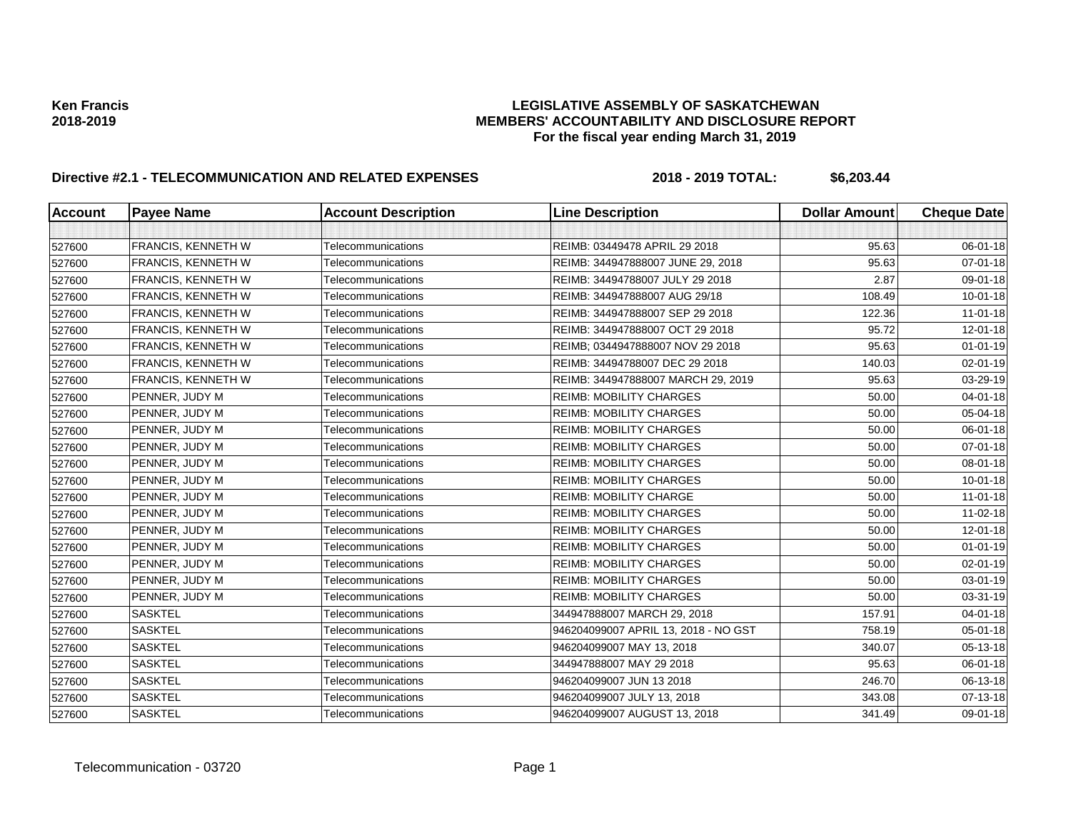| <b>Account</b> | <b>Payee Name</b>         | <b>Account Description</b> | <b>Line Description</b>              | <b>Dollar Amount</b> | <b>Cheque Date</b> |
|----------------|---------------------------|----------------------------|--------------------------------------|----------------------|--------------------|
|                |                           |                            |                                      |                      |                    |
| 527600         | FRANCIS, KENNETH W        | Telecommunications         | REIMB: 03449478 APRIL 29 2018        | 95.63                | 06-01-18           |
| 527600         | FRANCIS, KENNETH W        | Telecommunications         | REIMB: 344947888007 JUNE 29, 2018    | 95.63                | 07-01-18           |
| 527600         | <b>FRANCIS, KENNETH W</b> | Telecommunications         | REIMB: 34494788007 JULY 29 2018      | 2.87                 | 09-01-18           |
| 527600         | <b>FRANCIS, KENNETH W</b> | Telecommunications         | REIMB: 344947888007 AUG 29/18        | 108.49               | $10 - 01 - 18$     |
| 527600         | FRANCIS, KENNETH W        | Telecommunications         | REIMB: 344947888007 SEP 29 2018      | 122.36               | $11 - 01 - 18$     |
| 527600         | <b>FRANCIS, KENNETH W</b> | Telecommunications         | REIMB: 344947888007 OCT 29 2018      | 95.72                | 12-01-18           |
| 527600         | <b>FRANCIS, KENNETH W</b> | Telecommunications         | REIMB; 0344947888007 NOV 29 2018     | 95.63                | $01 - 01 - 19$     |
| 527600         | <b>FRANCIS, KENNETH W</b> | Telecommunications         | REIMB: 34494788007 DEC 29 2018       | 140.03               | 02-01-19           |
| 527600         | FRANCIS, KENNETH W        | Telecommunications         | REIMB: 344947888007 MARCH 29, 2019   | 95.63                | 03-29-19           |
| 527600         | PENNER, JUDY M            | Telecommunications         | <b>REIMB: MOBILITY CHARGES</b>       | 50.00                | $04 - 01 - 18$     |
| 527600         | PENNER, JUDY M            | Telecommunications         | <b>REIMB: MOBILITY CHARGES</b>       | 50.00                | 05-04-18           |
| 527600         | PENNER, JUDY M            | Telecommunications         | <b>REIMB: MOBILITY CHARGES</b>       | 50.00                | 06-01-18           |
| 527600         | PENNER, JUDY M            | Telecommunications         | <b>REIMB: MOBILITY CHARGES</b>       | 50.00                | 07-01-18           |
| 527600         | PENNER, JUDY M            | Telecommunications         | <b>REIMB: MOBILITY CHARGES</b>       | 50.00                | 08-01-18           |
| 527600         | PENNER, JUDY M            | Telecommunications         | <b>REIMB: MOBILITY CHARGES</b>       | 50.00                | $10 - 01 - 18$     |
| 527600         | PENNER, JUDY M            | Telecommunications         | <b>REIMB: MOBILITY CHARGE</b>        | 50.00                | $11 - 01 - 18$     |
| 527600         | PENNER, JUDY M            | Telecommunications         | <b>REIMB: MOBILITY CHARGES</b>       | 50.00                | 11-02-18           |
| 527600         | PENNER, JUDY M            | Telecommunications         | <b>REIMB: MOBILITY CHARGES</b>       | 50.00                | $12 - 01 - 18$     |
| 527600         | PENNER, JUDY M            | Telecommunications         | <b>REIMB: MOBILITY CHARGES</b>       | 50.00                | $01 - 01 - 19$     |
| 527600         | PENNER, JUDY M            | Telecommunications         | <b>REIMB: MOBILITY CHARGES</b>       | 50.00                | $02 - 01 - 19$     |
| 527600         | PENNER, JUDY M            | Telecommunications         | <b>REIMB: MOBILITY CHARGES</b>       | 50.00                | 03-01-19           |
| 527600         | PENNER, JUDY M            | Telecommunications         | <b>REIMB: MOBILITY CHARGES</b>       | 50.00                | 03-31-19           |
| 527600         | <b>SASKTEL</b>            | Telecommunications         | 344947888007 MARCH 29, 2018          | 157.91               | $04 - 01 - 18$     |
| 527600         | <b>SASKTEL</b>            | Telecommunications         | 946204099007 APRIL 13, 2018 - NO GST | 758.19               | 05-01-18           |
| 527600         | <b>SASKTEL</b>            | Telecommunications         | 946204099007 MAY 13, 2018            | 340.07               | 05-13-18           |
| 527600         | <b>SASKTEL</b>            | Telecommunications         | 344947888007 MAY 29 2018             | 95.63                | 06-01-18           |
| 527600         | <b>SASKTEL</b>            | Telecommunications         | 946204099007 JUN 13 2018             | 246.70               | 06-13-18           |
| 527600         | <b>SASKTEL</b>            | Telecommunications         | 946204099007 JULY 13, 2018           | 343.08               | 07-13-18           |
| 527600         | <b>SASKTEL</b>            | Telecommunications         | 946204099007 AUGUST 13, 2018         | 341.49               | 09-01-18           |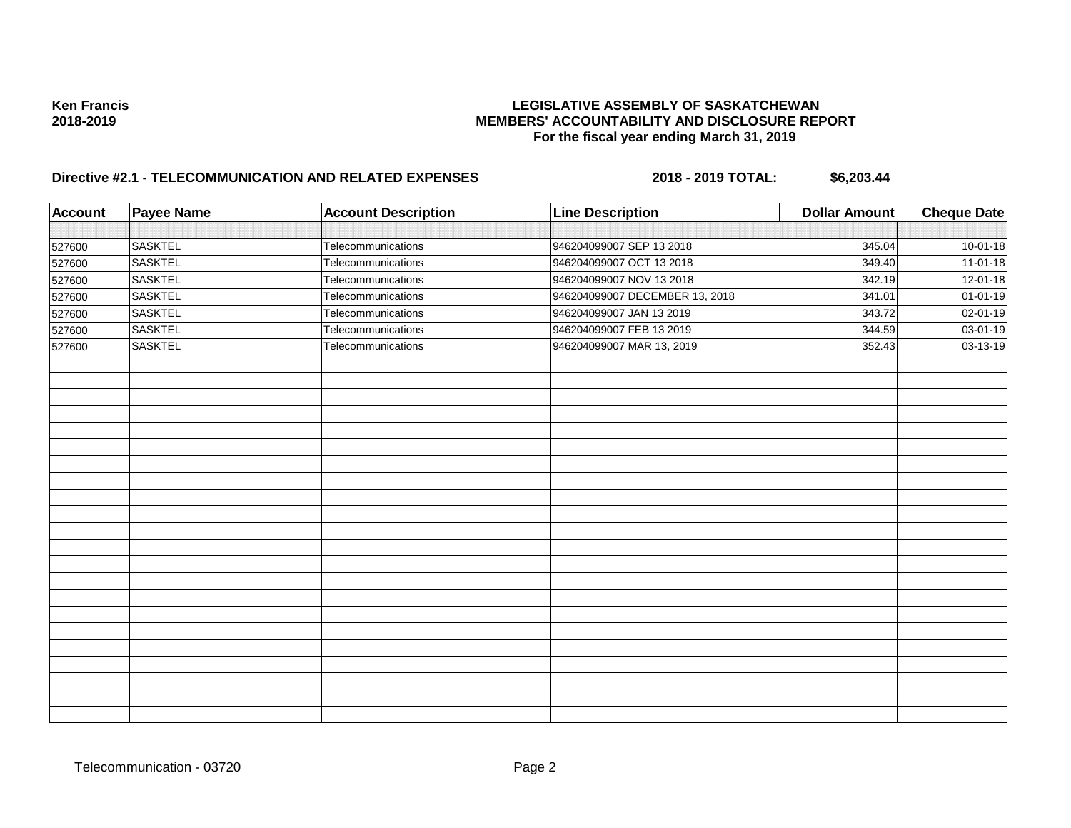| <b>Account</b> | <b>Payee Name</b> | <b>Account Description</b> | <b>Line Description</b>        | <b>Dollar Amount</b> | <b>Cheque Date</b> |
|----------------|-------------------|----------------------------|--------------------------------|----------------------|--------------------|
|                |                   |                            |                                |                      |                    |
| 527600         | <b>SASKTEL</b>    | Telecommunications         | 946204099007 SEP 13 2018       | 345.04               | $10 - 01 - 18$     |
| 527600         | <b>SASKTEL</b>    | Telecommunications         | 946204099007 OCT 13 2018       | 349.40               | $11-01-18$         |
| 527600         | <b>SASKTEL</b>    | Telecommunications         | 946204099007 NOV 13 2018       | 342.19               | 12-01-18           |
| 527600         | <b>SASKTEL</b>    | Telecommunications         | 946204099007 DECEMBER 13, 2018 | 341.01               | $01 - 01 - 19$     |
| 527600         | <b>SASKTEL</b>    | Telecommunications         | 946204099007 JAN 13 2019       | 343.72               | 02-01-19           |
| 527600         | <b>SASKTEL</b>    | Telecommunications         | 946204099007 FEB 13 2019       | 344.59               | 03-01-19           |
| 527600         | <b>SASKTEL</b>    | Telecommunications         | 946204099007 MAR 13, 2019      | 352.43               | 03-13-19           |
|                |                   |                            |                                |                      |                    |
|                |                   |                            |                                |                      |                    |
|                |                   |                            |                                |                      |                    |
|                |                   |                            |                                |                      |                    |
|                |                   |                            |                                |                      |                    |
|                |                   |                            |                                |                      |                    |
|                |                   |                            |                                |                      |                    |
|                |                   |                            |                                |                      |                    |
|                |                   |                            |                                |                      |                    |
|                |                   |                            |                                |                      |                    |
|                |                   |                            |                                |                      |                    |
|                |                   |                            |                                |                      |                    |
|                |                   |                            |                                |                      |                    |
|                |                   |                            |                                |                      |                    |
|                |                   |                            |                                |                      |                    |
|                |                   |                            |                                |                      |                    |
|                |                   |                            |                                |                      |                    |
|                |                   |                            |                                |                      |                    |
|                |                   |                            |                                |                      |                    |
|                |                   |                            |                                |                      |                    |
|                |                   |                            |                                |                      |                    |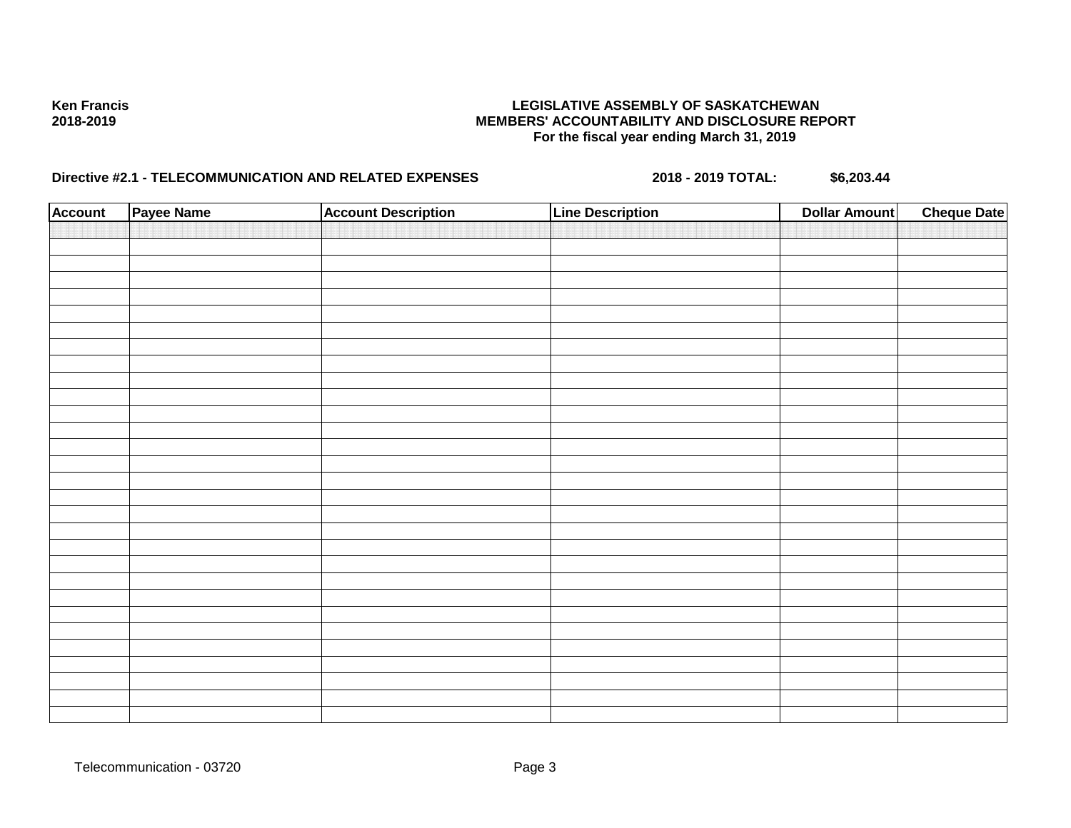| <b>Account</b> | Payee Name | <b>Account Description</b> | <b>Line Description</b> | <b>Dollar Amount</b> | <b>Cheque Date</b> |
|----------------|------------|----------------------------|-------------------------|----------------------|--------------------|
|                |            |                            |                         |                      |                    |
|                |            |                            |                         |                      |                    |
|                |            |                            |                         |                      |                    |
|                |            |                            |                         |                      |                    |
|                |            |                            |                         |                      |                    |
|                |            |                            |                         |                      |                    |
|                |            |                            |                         |                      |                    |
|                |            |                            |                         |                      |                    |
|                |            |                            |                         |                      |                    |
|                |            |                            |                         |                      |                    |
|                |            |                            |                         |                      |                    |
|                |            |                            |                         |                      |                    |
|                |            |                            |                         |                      |                    |
|                |            |                            |                         |                      |                    |
|                |            |                            |                         |                      |                    |
|                |            |                            |                         |                      |                    |
|                |            |                            |                         |                      |                    |
|                |            |                            |                         |                      |                    |
|                |            |                            |                         |                      |                    |
|                |            |                            |                         |                      |                    |
|                |            |                            |                         |                      |                    |
|                |            |                            |                         |                      |                    |
|                |            |                            |                         |                      |                    |
|                |            |                            |                         |                      |                    |
|                |            |                            |                         |                      |                    |
|                |            |                            |                         |                      |                    |
|                |            |                            |                         |                      |                    |
|                |            |                            |                         |                      |                    |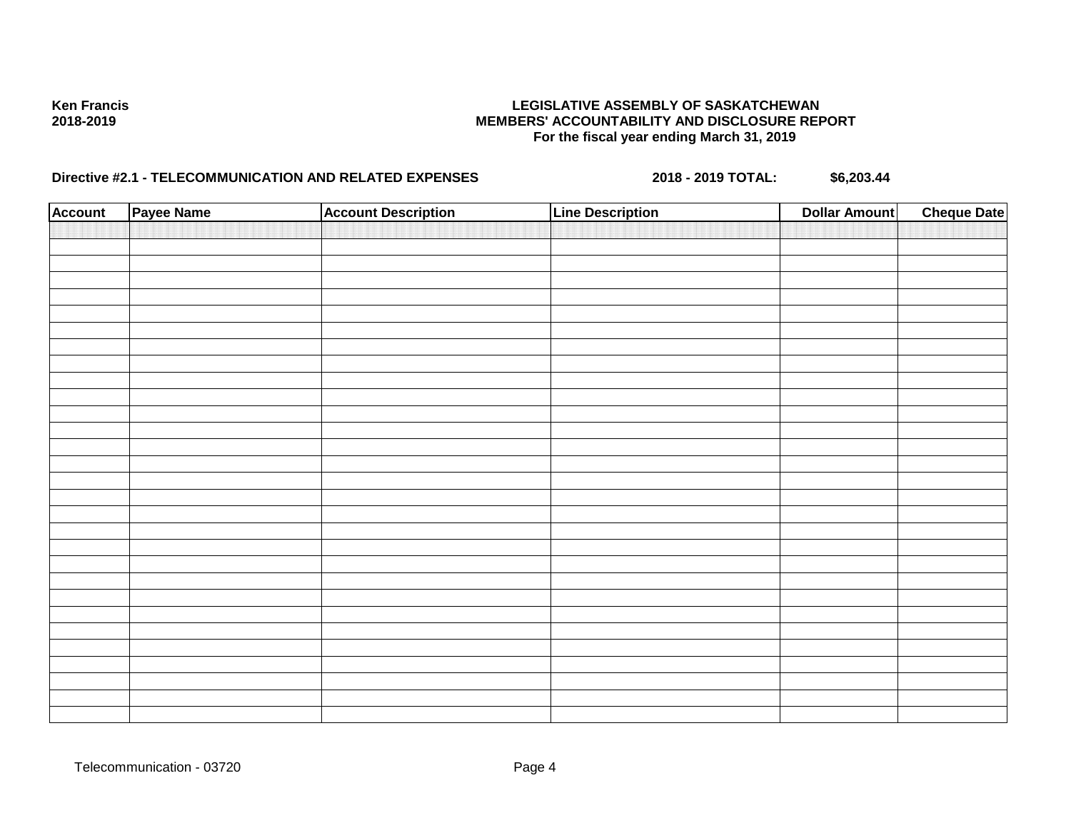| <b>Account</b> | Payee Name | <b>Account Description</b> | <b>Line Description</b> | <b>Dollar Amount</b> | <b>Cheque Date</b> |
|----------------|------------|----------------------------|-------------------------|----------------------|--------------------|
|                |            |                            |                         |                      |                    |
|                |            |                            |                         |                      |                    |
|                |            |                            |                         |                      |                    |
|                |            |                            |                         |                      |                    |
|                |            |                            |                         |                      |                    |
|                |            |                            |                         |                      |                    |
|                |            |                            |                         |                      |                    |
|                |            |                            |                         |                      |                    |
|                |            |                            |                         |                      |                    |
|                |            |                            |                         |                      |                    |
|                |            |                            |                         |                      |                    |
|                |            |                            |                         |                      |                    |
|                |            |                            |                         |                      |                    |
|                |            |                            |                         |                      |                    |
|                |            |                            |                         |                      |                    |
|                |            |                            |                         |                      |                    |
|                |            |                            |                         |                      |                    |
|                |            |                            |                         |                      |                    |
|                |            |                            |                         |                      |                    |
|                |            |                            |                         |                      |                    |
|                |            |                            |                         |                      |                    |
|                |            |                            |                         |                      |                    |
|                |            |                            |                         |                      |                    |
|                |            |                            |                         |                      |                    |
|                |            |                            |                         |                      |                    |
|                |            |                            |                         |                      |                    |
|                |            |                            |                         |                      |                    |
|                |            |                            |                         |                      |                    |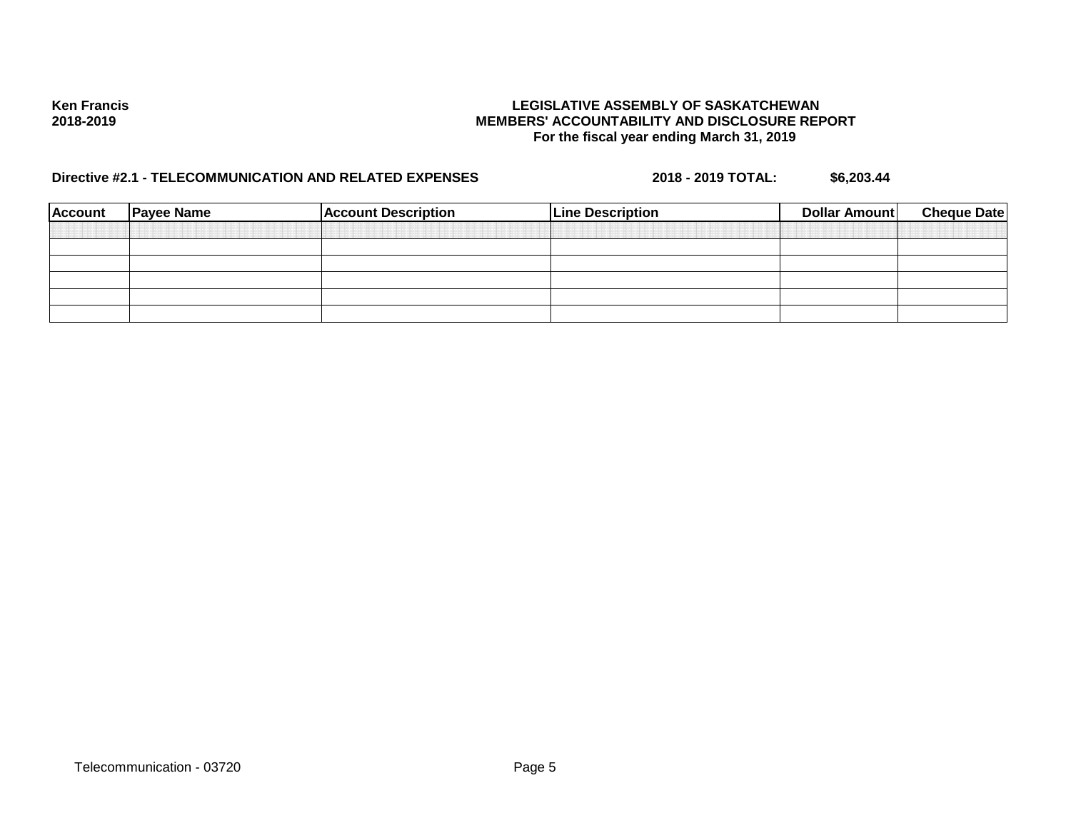| <b>Account</b> | <b>Payee Name</b> | <b>Account Description</b> | <b>Line Description</b> | Dollar Amount | <b>Cheque Date</b> |
|----------------|-------------------|----------------------------|-------------------------|---------------|--------------------|
|                |                   |                            |                         |               |                    |
|                |                   |                            |                         |               |                    |
|                |                   |                            |                         |               |                    |
|                |                   |                            |                         |               |                    |
|                |                   |                            |                         |               |                    |
|                |                   |                            |                         |               |                    |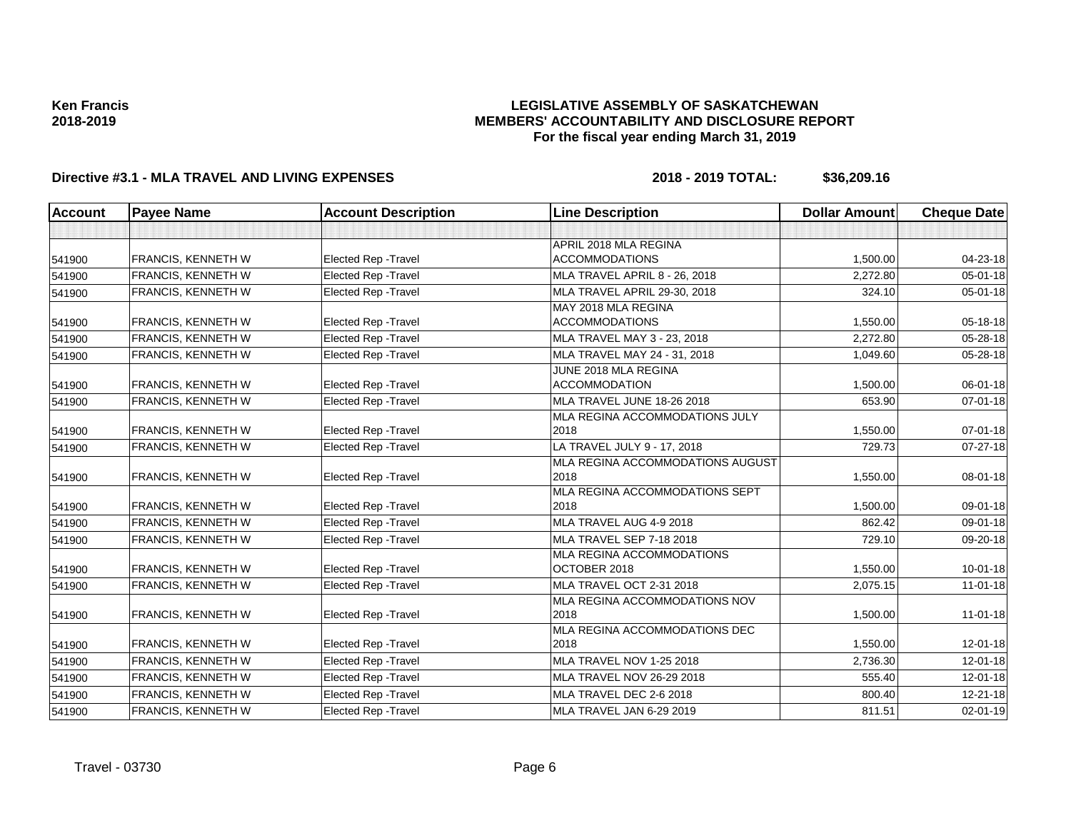### **LEGISLATIVE ASSEMBLY OF SASKATCHEWAN MEMBERS' ACCOUNTABILITY AND DISCLOSURE REPORT For the fiscal year ending March 31, 2019**

| <b>Account</b> | <b>Payee Name</b>         | <b>Account Description</b>  | <b>Line Description</b>                      | <b>Dollar Amount</b> | <b>Cheque Date</b> |
|----------------|---------------------------|-----------------------------|----------------------------------------------|----------------------|--------------------|
|                |                           |                             |                                              |                      |                    |
|                |                           |                             | APRIL 2018 MLA REGINA                        |                      |                    |
| 541900         | <b>FRANCIS, KENNETH W</b> | <b>Elected Rep - Travel</b> | <b>ACCOMMODATIONS</b>                        | 1,500.00             | 04-23-18           |
| 541900         | FRANCIS, KENNETH W        | <b>Elected Rep - Travel</b> | <b>MLA TRAVEL APRIL 8 - 26, 2018</b>         | 2,272.80             | $05 - 01 - 18$     |
| 541900         | FRANCIS, KENNETH W        | <b>Elected Rep - Travel</b> | MLA TRAVEL APRIL 29-30, 2018                 | 324.10               | $05 - 01 - 18$     |
| 541900         | <b>FRANCIS, KENNETH W</b> | Elected Rep - Travel        | MAY 2018 MLA REGINA<br><b>ACCOMMODATIONS</b> | 1,550.00             | 05-18-18           |
| 541900         | FRANCIS, KENNETH W        | <b>Elected Rep - Travel</b> | MLA TRAVEL MAY 3 - 23, 2018                  | 2,272.80             | 05-28-18           |
| 541900         | FRANCIS, KENNETH W        | <b>Elected Rep - Travel</b> | MLA TRAVEL MAY 24 - 31, 2018                 | 1,049.60             | 05-28-18           |
| 541900         | FRANCIS, KENNETH W        | <b>Elected Rep - Travel</b> | JUNE 2018 MLA REGINA<br><b>ACCOMMODATION</b> | 1,500.00             | 06-01-18           |
| 541900         | <b>FRANCIS, KENNETH W</b> | Elected Rep - Travel        | MLA TRAVEL JUNE 18-26 2018                   | 653.90               | $07 - 01 - 18$     |
|                |                           |                             | MLA REGINA ACCOMMODATIONS JULY               |                      |                    |
| 541900         | FRANCIS, KENNETH W        | <b>Elected Rep - Travel</b> | 2018                                         | 1,550.00             | 07-01-18           |
| 541900         | FRANCIS, KENNETH W        | <b>Elected Rep - Travel</b> | LA TRAVEL JULY 9 - 17, 2018                  | 729.73               | 07-27-18           |
| 541900         | FRANCIS, KENNETH W        | Elected Rep - Travel        | MLA REGINA ACCOMMODATIONS AUGUST<br>2018     | 1,550.00             | 08-01-18           |
| 541900         | <b>FRANCIS, KENNETH W</b> | Elected Rep - Travel        | MLA REGINA ACCOMMODATIONS SEPT<br>2018       | 1,500.00             | 09-01-18           |
| 541900         | FRANCIS, KENNETH W        | <b>Elected Rep - Travel</b> | MLA TRAVEL AUG 4-9 2018                      | 862.42               | 09-01-18           |
| 541900         | FRANCIS, KENNETH W        | Elected Rep - Travel        | MLA TRAVEL SEP 7-18 2018                     | 729.10               | 09-20-18           |
| 541900         | FRANCIS, KENNETH W        | <b>Elected Rep - Travel</b> | MLA REGINA ACCOMMODATIONS<br>OCTOBER 2018    | 1,550.00             | $10 - 01 - 18$     |
| 541900         | FRANCIS, KENNETH W        | <b>Elected Rep - Travel</b> | <b>MLA TRAVEL OCT 2-31 2018</b>              | 2,075.15             | $11-01-18$         |
| 541900         | FRANCIS, KENNETH W        | Elected Rep - Travel        | MLA REGINA ACCOMMODATIONS NOV<br>2018        | 1,500.00             | $11 - 01 - 18$     |
| 541900         | <b>FRANCIS, KENNETH W</b> | <b>Elected Rep - Travel</b> | MLA REGINA ACCOMMODATIONS DEC<br>2018        | 1,550.00             | $12 - 01 - 18$     |
| 541900         | FRANCIS, KENNETH W        | <b>Elected Rep - Travel</b> | <b>MLA TRAVEL NOV 1-25 2018</b>              | 2,736.30             | $12 - 01 - 18$     |
| 541900         | FRANCIS, KENNETH W        | Elected Rep - Travel        | MLA TRAVEL NOV 26-29 2018                    | 555.40               | $12 - 01 - 18$     |
| 541900         | FRANCIS, KENNETH W        | Elected Rep - Travel        | MLA TRAVEL DEC 2-6 2018                      | 800.40               | $12 - 21 - 18$     |
| 541900         | FRANCIS, KENNETH W        | <b>Elected Rep - Travel</b> | MLA TRAVEL JAN 6-29 2019                     | 811.51               | $02 - 01 - 19$     |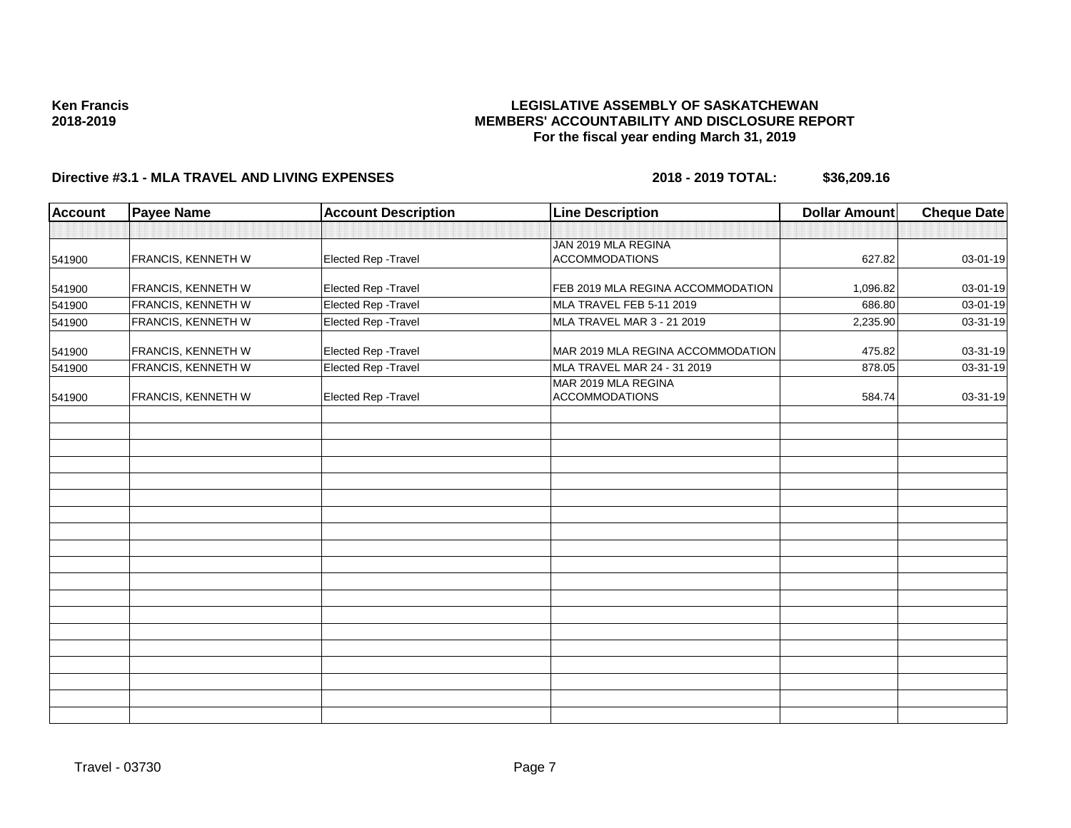## **LEGISLATIVE ASSEMBLY OF SASKATCHEWAN MEMBERS' ACCOUNTABILITY AND DISCLOSURE REPORT For the fiscal year ending March 31, 2019**

| Account | <b>Payee Name</b>         | <b>Account Description</b> | <b>Line Description</b>                      | <b>Dollar Amount</b> | <b>Cheque Date</b> |
|---------|---------------------------|----------------------------|----------------------------------------------|----------------------|--------------------|
|         |                           |                            |                                              |                      |                    |
|         |                           |                            | JAN 2019 MLA REGINA                          |                      |                    |
| 541900  | <b>FRANCIS, KENNETH W</b> | Elected Rep - Travel       | <b>ACCOMMODATIONS</b>                        | 627.82               | 03-01-19           |
| 541900  | FRANCIS, KENNETH W        | Elected Rep - Travel       | FEB 2019 MLA REGINA ACCOMMODATION            | 1,096.82             | 03-01-19           |
| 541900  | FRANCIS, KENNETH W        | Elected Rep - Travel       | MLA TRAVEL FEB 5-11 2019                     | 686.80               | 03-01-19           |
| 541900  | FRANCIS, KENNETH W        | Elected Rep - Travel       | MLA TRAVEL MAR 3 - 21 2019                   | 2,235.90             | 03-31-19           |
| 541900  | FRANCIS, KENNETH W        | Elected Rep - Travel       | MAR 2019 MLA REGINA ACCOMMODATION            | 475.82               | 03-31-19           |
| 541900  | FRANCIS, KENNETH W        | Elected Rep - Travel       | MLA TRAVEL MAR 24 - 31 2019                  | 878.05               | 03-31-19           |
| 541900  | <b>FRANCIS, KENNETH W</b> | Elected Rep - Travel       | MAR 2019 MLA REGINA<br><b>ACCOMMODATIONS</b> | 584.74               | 03-31-19           |
|         |                           |                            |                                              |                      |                    |
|         |                           |                            |                                              |                      |                    |
|         |                           |                            |                                              |                      |                    |
|         |                           |                            |                                              |                      |                    |
|         |                           |                            |                                              |                      |                    |
|         |                           |                            |                                              |                      |                    |
|         |                           |                            |                                              |                      |                    |
|         |                           |                            |                                              |                      |                    |
|         |                           |                            |                                              |                      |                    |
|         |                           |                            |                                              |                      |                    |
|         |                           |                            |                                              |                      |                    |
|         |                           |                            |                                              |                      |                    |
|         |                           |                            |                                              |                      |                    |
|         |                           |                            |                                              |                      |                    |
|         |                           |                            |                                              |                      |                    |
|         |                           |                            |                                              |                      |                    |
|         |                           |                            |                                              |                      |                    |
|         |                           |                            |                                              |                      |                    |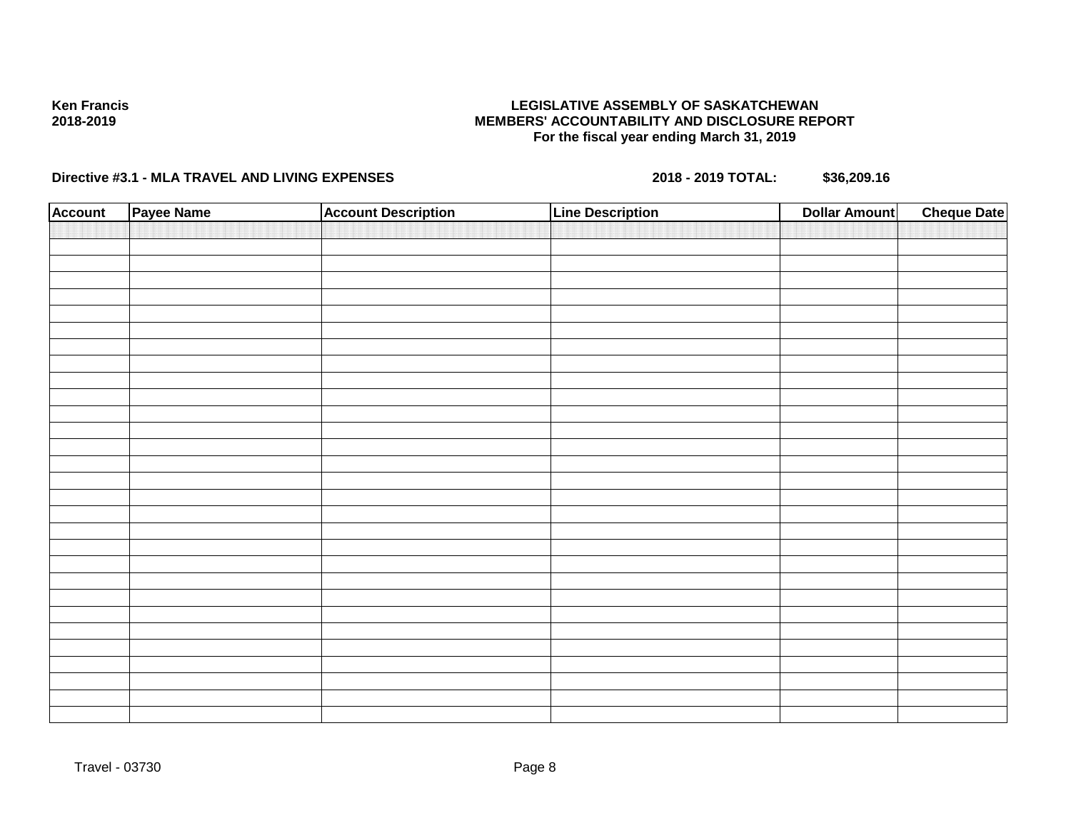### **LEGISLATIVE ASSEMBLY OF SASKATCHEWAN MEMBERS' ACCOUNTABILITY AND DISCLOSURE REPORT For the fiscal year ending March 31, 2019**

| <b>Account</b> | Payee Name | <b>Account Description</b> | <b>Line Description</b> | <b>Dollar Amount</b> | <b>Cheque Date</b> |
|----------------|------------|----------------------------|-------------------------|----------------------|--------------------|
|                |            |                            |                         |                      |                    |
|                |            |                            |                         |                      |                    |
|                |            |                            |                         |                      |                    |
|                |            |                            |                         |                      |                    |
|                |            |                            |                         |                      |                    |
|                |            |                            |                         |                      |                    |
|                |            |                            |                         |                      |                    |
|                |            |                            |                         |                      |                    |
|                |            |                            |                         |                      |                    |
|                |            |                            |                         |                      |                    |
|                |            |                            |                         |                      |                    |
|                |            |                            |                         |                      |                    |
|                |            |                            |                         |                      |                    |
|                |            |                            |                         |                      |                    |
|                |            |                            |                         |                      |                    |
|                |            |                            |                         |                      |                    |
|                |            |                            |                         |                      |                    |
|                |            |                            |                         |                      |                    |
|                |            |                            |                         |                      |                    |
|                |            |                            |                         |                      |                    |
|                |            |                            |                         |                      |                    |
|                |            |                            |                         |                      |                    |
|                |            |                            |                         |                      |                    |
|                |            |                            |                         |                      |                    |
|                |            |                            |                         |                      |                    |
|                |            |                            |                         |                      |                    |
|                |            |                            |                         |                      |                    |
|                |            |                            |                         |                      |                    |
|                |            |                            |                         |                      |                    |
|                |            |                            |                         |                      |                    |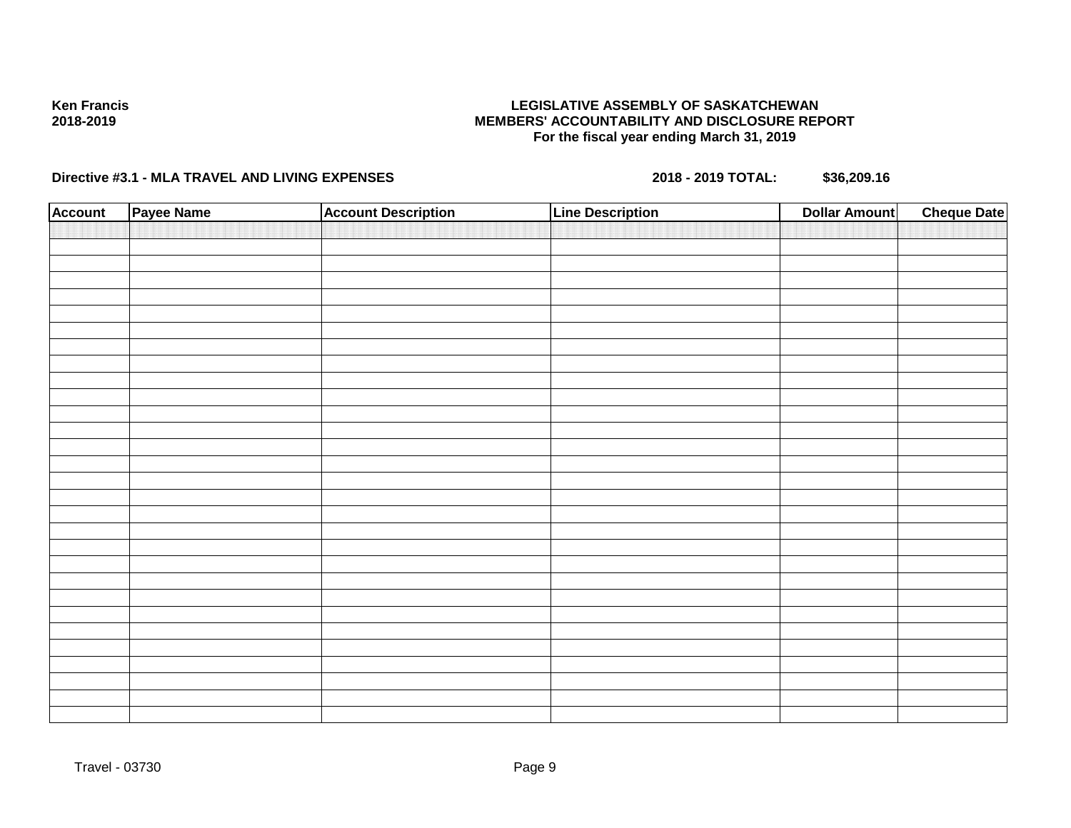### **LEGISLATIVE ASSEMBLY OF SASKATCHEWAN MEMBERS' ACCOUNTABILITY AND DISCLOSURE REPORT For the fiscal year ending March 31, 2019**

| <b>Account</b> | Payee Name | <b>Account Description</b> | <b>Line Description</b> | <b>Dollar Amount</b> | <b>Cheque Date</b> |
|----------------|------------|----------------------------|-------------------------|----------------------|--------------------|
|                |            |                            |                         |                      |                    |
|                |            |                            |                         |                      |                    |
|                |            |                            |                         |                      |                    |
|                |            |                            |                         |                      |                    |
|                |            |                            |                         |                      |                    |
|                |            |                            |                         |                      |                    |
|                |            |                            |                         |                      |                    |
|                |            |                            |                         |                      |                    |
|                |            |                            |                         |                      |                    |
|                |            |                            |                         |                      |                    |
|                |            |                            |                         |                      |                    |
|                |            |                            |                         |                      |                    |
|                |            |                            |                         |                      |                    |
|                |            |                            |                         |                      |                    |
|                |            |                            |                         |                      |                    |
|                |            |                            |                         |                      |                    |
|                |            |                            |                         |                      |                    |
|                |            |                            |                         |                      |                    |
|                |            |                            |                         |                      |                    |
|                |            |                            |                         |                      |                    |
|                |            |                            |                         |                      |                    |
|                |            |                            |                         |                      |                    |
|                |            |                            |                         |                      |                    |
|                |            |                            |                         |                      |                    |
|                |            |                            |                         |                      |                    |
|                |            |                            |                         |                      |                    |
|                |            |                            |                         |                      |                    |
|                |            |                            |                         |                      |                    |
|                |            |                            |                         |                      |                    |
|                |            |                            |                         |                      |                    |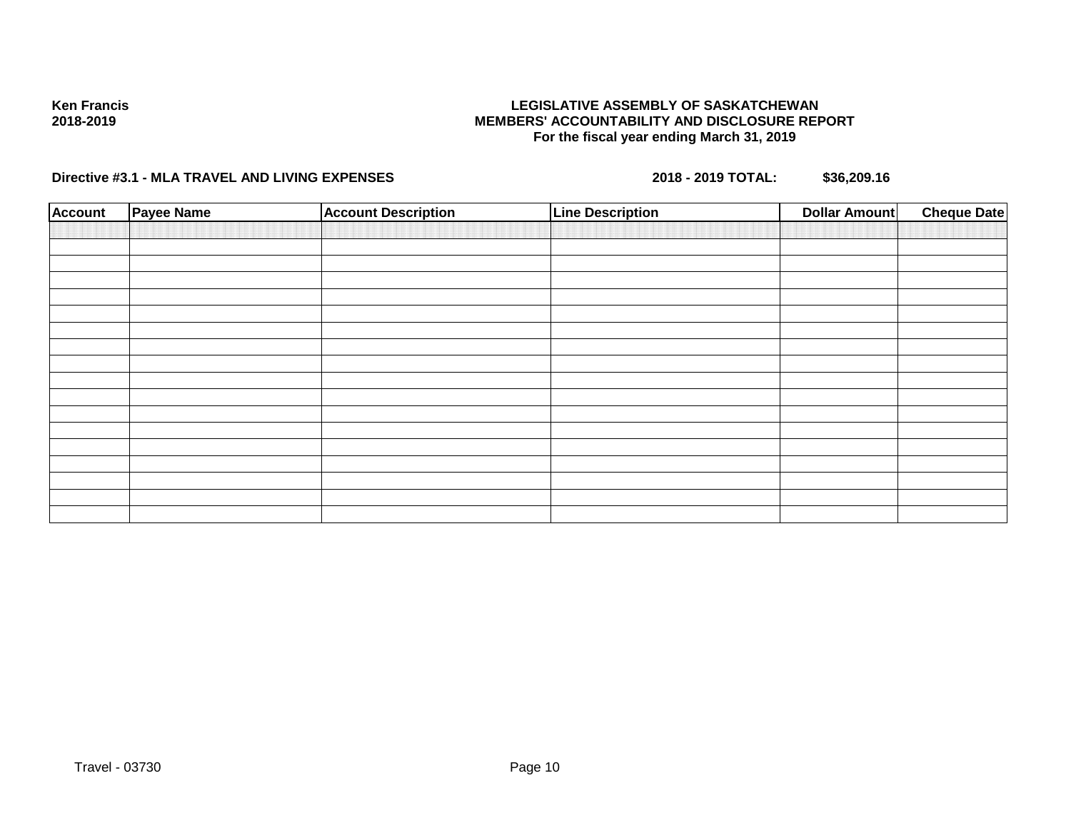### **LEGISLATIVE ASSEMBLY OF SASKATCHEWAN MEMBERS' ACCOUNTABILITY AND DISCLOSURE REPORT For the fiscal year ending March 31, 2019**

| <b>Account</b> | <b>Payee Name</b> | <b>Account Description</b> | <b>Line Description</b> | Dollar Amount | <b>Cheque Date</b> |
|----------------|-------------------|----------------------------|-------------------------|---------------|--------------------|
|                |                   |                            |                         |               |                    |
|                |                   |                            |                         |               |                    |
|                |                   |                            |                         |               |                    |
|                |                   |                            |                         |               |                    |
|                |                   |                            |                         |               |                    |
|                |                   |                            |                         |               |                    |
|                |                   |                            |                         |               |                    |
|                |                   |                            |                         |               |                    |
|                |                   |                            |                         |               |                    |
|                |                   |                            |                         |               |                    |
|                |                   |                            |                         |               |                    |
|                |                   |                            |                         |               |                    |
|                |                   |                            |                         |               |                    |
|                |                   |                            |                         |               |                    |
|                |                   |                            |                         |               |                    |
|                |                   |                            |                         |               |                    |
|                |                   |                            |                         |               |                    |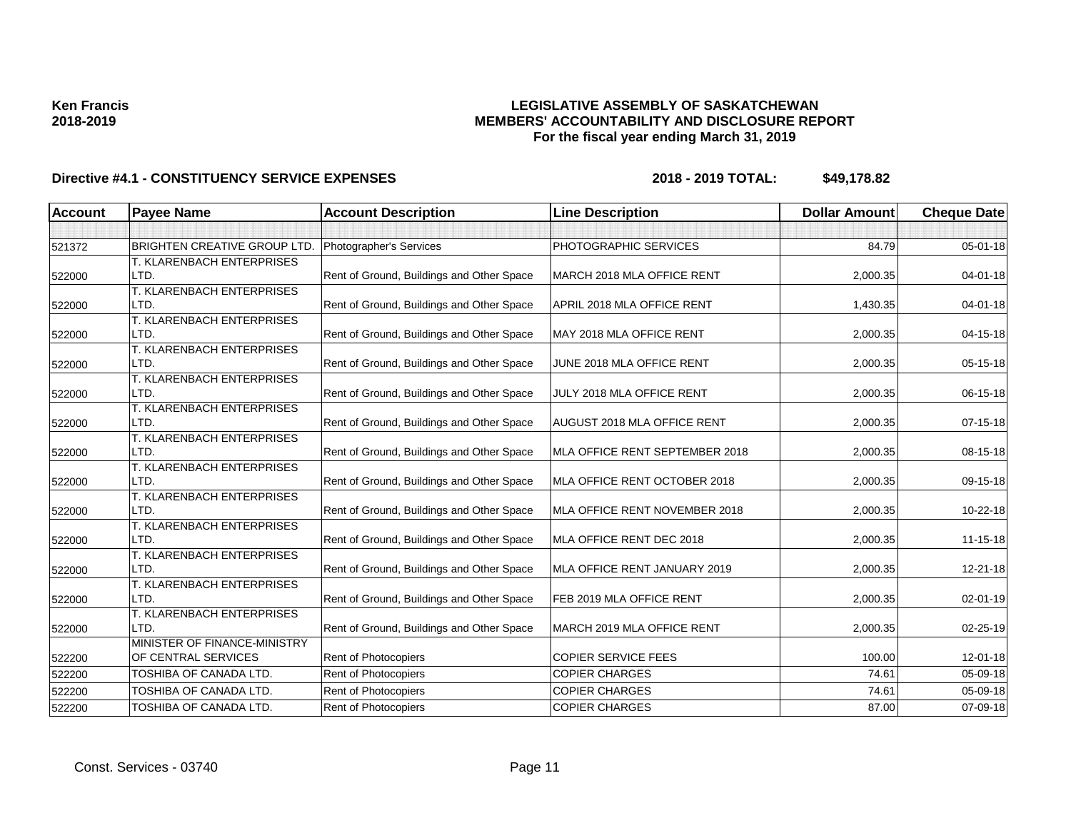## **LEGISLATIVE ASSEMBLY OF SASKATCHEWAN MEMBERS' ACCOUNTABILITY AND DISCLOSURE REPORT For the fiscal year ending March 31, 2019**

| <b>Account</b> | <b>Payee Name</b>                 | <b>Account Description</b>                | <b>Line Description</b>            | <b>Dollar Amount</b> | <b>Cheque Date</b> |
|----------------|-----------------------------------|-------------------------------------------|------------------------------------|----------------------|--------------------|
|                |                                   |                                           |                                    |                      |                    |
| 521372         | BRIGHTEN CREATIVE GROUP LTD.      | Photographer's Services                   | PHOTOGRAPHIC SERVICES              | 84.79                | 05-01-18           |
|                | T. KLARENBACH ENTERPRISES         |                                           |                                    |                      |                    |
| 522000         | LTD.                              | Rent of Ground, Buildings and Other Space | MARCH 2018 MLA OFFICE RENT         | 2,000.35             | 04-01-18           |
|                | T. KLARENBACH ENTERPRISES         |                                           |                                    |                      |                    |
| 522000         | LTD.                              | Rent of Ground, Buildings and Other Space | APRIL 2018 MLA OFFICE RENT         | 1,430.35             | $04 - 01 - 18$     |
|                | T. KLARENBACH ENTERPRISES         |                                           |                                    |                      |                    |
| 522000         | LTD.                              | Rent of Ground, Buildings and Other Space | MAY 2018 MLA OFFICE RENT           | 2,000.35             | 04-15-18           |
|                | T. KLARENBACH ENTERPRISES         |                                           |                                    |                      |                    |
| 522000         | LTD.                              | Rent of Ground, Buildings and Other Space | JUNE 2018 MLA OFFICE RENT          | 2,000.35             | 05-15-18           |
|                | T. KLARENBACH ENTERPRISES         |                                           |                                    |                      |                    |
| 522000         | LTD.                              | Rent of Ground, Buildings and Other Space | JULY 2018 MLA OFFICE RENT          | 2,000.35             | 06-15-18           |
|                | T. KLARENBACH ENTERPRISES         |                                           |                                    |                      |                    |
| 522000         | LTD.                              | Rent of Ground, Buildings and Other Space | <b>AUGUST 2018 MLA OFFICE RENT</b> | 2,000.35             | 07-15-18           |
|                | T. KLARENBACH ENTERPRISES         |                                           |                                    |                      |                    |
| 522000         | LTD.                              | Rent of Ground, Buildings and Other Space | MLA OFFICE RENT SEPTEMBER 2018     | 2,000.35             | 08-15-18           |
|                | T. KLARENBACH ENTERPRISES         |                                           |                                    |                      |                    |
| 522000         | LTD.                              | Rent of Ground, Buildings and Other Space | MLA OFFICE RENT OCTOBER 2018       | 2,000.35             | 09-15-18           |
|                | T. KLARENBACH ENTERPRISES         |                                           |                                    |                      |                    |
| 522000         | LTD.                              | Rent of Ground, Buildings and Other Space | MLA OFFICE RENT NOVEMBER 2018      | 2,000.35             | 10-22-18           |
|                | T. KLARENBACH ENTERPRISES         |                                           |                                    |                      |                    |
| 522000         | LTD.                              | Rent of Ground, Buildings and Other Space | MLA OFFICE RENT DEC 2018           | 2,000.35             | 11-15-18           |
|                | T. KLARENBACH ENTERPRISES<br>LTD. |                                           | MLA OFFICE RENT JANUARY 2019       | 2,000.35             | 12-21-18           |
| 522000         |                                   | Rent of Ground, Buildings and Other Space |                                    |                      |                    |
| 522000         | T. KLARENBACH ENTERPRISES<br>LTD. | Rent of Ground, Buildings and Other Space | FEB 2019 MLA OFFICE RENT           | 2,000.35             | 02-01-19           |
|                | T. KLARENBACH ENTERPRISES         |                                           |                                    |                      |                    |
| 522000         | LTD.                              | Rent of Ground, Buildings and Other Space | MARCH 2019 MLA OFFICE RENT         | 2,000.35             | 02-25-19           |
|                | MINISTER OF FINANCE-MINISTRY      |                                           |                                    |                      |                    |
| 522200         | OF CENTRAL SERVICES               | Rent of Photocopiers                      | <b>COPIER SERVICE FEES</b>         | 100.00               | 12-01-18           |
| 522200         | TOSHIBA OF CANADA LTD.            | Rent of Photocopiers                      | <b>COPIER CHARGES</b>              | 74.61                | 05-09-18           |
|                |                                   |                                           |                                    |                      |                    |
| 522200         | TOSHIBA OF CANADA LTD.            | Rent of Photocopiers                      | <b>COPIER CHARGES</b>              | 74.61                | 05-09-18           |
| 522200         | TOSHIBA OF CANADA LTD.            | Rent of Photocopiers                      | <b>COPIER CHARGES</b>              | 87.00                | 07-09-18           |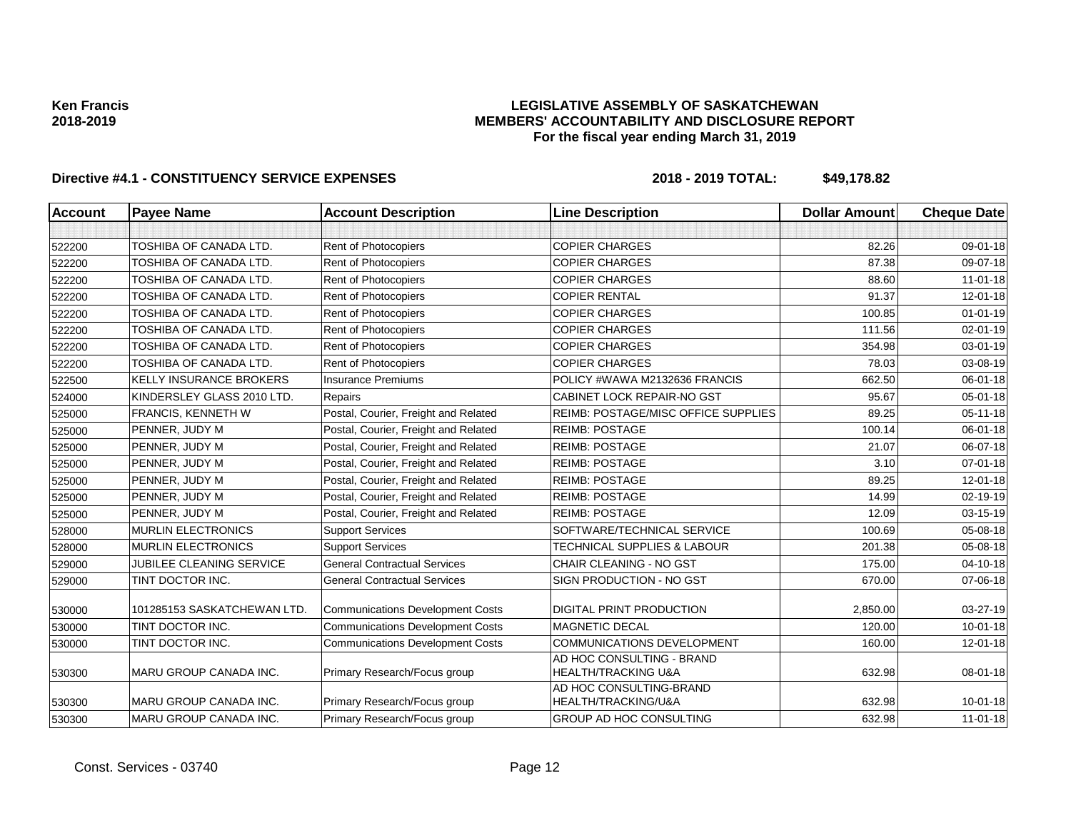### **LEGISLATIVE ASSEMBLY OF SASKATCHEWAN MEMBERS' ACCOUNTABILITY AND DISCLOSURE REPORT For the fiscal year ending March 31, 2019**

| <b>Account</b> | <b>Payee Name</b>               | <b>Account Description</b>              | <b>Line Description</b>                                     | <b>Dollar Amount</b> | <b>Cheque Date</b> |
|----------------|---------------------------------|-----------------------------------------|-------------------------------------------------------------|----------------------|--------------------|
|                |                                 |                                         |                                                             |                      |                    |
| 522200         | TOSHIBA OF CANADA LTD.          | Rent of Photocopiers                    | <b>COPIER CHARGES</b>                                       | 82.26                | 09-01-18           |
| 522200         | TOSHIBA OF CANADA LTD.          | Rent of Photocopiers                    | <b>COPIER CHARGES</b>                                       | 87.38                | 09-07-18           |
| 522200         | TOSHIBA OF CANADA LTD.          | Rent of Photocopiers                    | <b>COPIER CHARGES</b>                                       | 88.60                | $11 - 01 - 18$     |
| 522200         | TOSHIBA OF CANADA LTD.          | Rent of Photocopiers                    | <b>COPIER RENTAL</b>                                        | 91.37                | $12 - 01 - 18$     |
| 522200         | TOSHIBA OF CANADA LTD.          | Rent of Photocopiers                    | <b>COPIER CHARGES</b>                                       | 100.85               | $01 - 01 - 19$     |
| 522200         | TOSHIBA OF CANADA LTD.          | Rent of Photocopiers                    | <b>COPIER CHARGES</b>                                       | 111.56               | 02-01-19           |
| 522200         | TOSHIBA OF CANADA LTD.          | Rent of Photocopiers                    | <b>COPIER CHARGES</b>                                       | 354.98               | 03-01-19           |
| 522200         | TOSHIBA OF CANADA LTD.          | Rent of Photocopiers                    | <b>COPIER CHARGES</b>                                       | 78.03                | 03-08-19           |
| 522500         | <b>KELLY INSURANCE BROKERS</b>  | <b>Insurance Premiums</b>               | POLICY #WAWA M2132636 FRANCIS                               | 662.50               | 06-01-18           |
| 524000         | KINDERSLEY GLASS 2010 LTD.      | Repairs                                 | CABINET LOCK REPAIR-NO GST                                  | 95.67                | 05-01-18           |
| 525000         | <b>FRANCIS, KENNETH W</b>       | Postal, Courier, Freight and Related    | REIMB: POSTAGE/MISC OFFICE SUPPLIES                         | 89.25                | $05 - 11 - 18$     |
| 525000         | PENNER, JUDY M                  | Postal, Courier, Freight and Related    | <b>REIMB: POSTAGE</b>                                       | 100.14               | 06-01-18           |
| 525000         | PENNER, JUDY M                  | Postal, Courier, Freight and Related    | <b>REIMB: POSTAGE</b>                                       | 21.07                | 06-07-18           |
| 525000         | PENNER, JUDY M                  | Postal, Courier, Freight and Related    | <b>REIMB: POSTAGE</b>                                       | 3.10                 | $07 - 01 - 18$     |
| 525000         | PENNER, JUDY M                  | Postal, Courier, Freight and Related    | <b>REIMB: POSTAGE</b>                                       | 89.25                | 12-01-18           |
| 525000         | PENNER, JUDY M                  | Postal, Courier, Freight and Related    | <b>REIMB: POSTAGE</b>                                       | 14.99                | 02-19-19           |
| 525000         | PENNER, JUDY M                  | Postal, Courier, Freight and Related    | <b>REIMB: POSTAGE</b>                                       | 12.09                | 03-15-19           |
| 528000         | <b>MURLIN ELECTRONICS</b>       | <b>Support Services</b>                 | SOFTWARE/TECHNICAL SERVICE                                  | 100.69               | 05-08-18           |
| 528000         | <b>MURLIN ELECTRONICS</b>       | <b>Support Services</b>                 | TECHNICAL SUPPLIES & LABOUR                                 | 201.38               | 05-08-18           |
| 529000         | <b>JUBILEE CLEANING SERVICE</b> | <b>General Contractual Services</b>     | CHAIR CLEANING - NO GST                                     | 175.00               | 04-10-18           |
| 529000         | TINT DOCTOR INC.                | <b>General Contractual Services</b>     | SIGN PRODUCTION - NO GST                                    | 670.00               | 07-06-18           |
| 530000         | 101285153 SASKATCHEWAN LTD.     | <b>Communications Development Costs</b> | <b>DIGITAL PRINT PRODUCTION</b>                             | 2,850.00             | 03-27-19           |
| 530000         | TINT DOCTOR INC.                | <b>Communications Development Costs</b> | <b>MAGNETIC DECAL</b>                                       | 120.00               | $10 - 01 - 18$     |
| 530000         | TINT DOCTOR INC.                | <b>Communications Development Costs</b> | <b>COMMUNICATIONS DEVELOPMENT</b>                           | 160.00               | $12 - 01 - 18$     |
| 530300         | MARU GROUP CANADA INC.          | Primary Research/Focus group            | AD HOC CONSULTING - BRAND<br><b>HEALTH/TRACKING U&amp;A</b> | 632.98               | 08-01-18           |
| 530300         | <b>MARU GROUP CANADA INC.</b>   | Primary Research/Focus group            | AD HOC CONSULTING-BRAND<br>HEALTH/TRACKING/U&A              | 632.98               | $10 - 01 - 18$     |
| 530300         | MARU GROUP CANADA INC.          | Primary Research/Focus group            | GROUP AD HOC CONSULTING                                     | 632.98               | $11-01-18$         |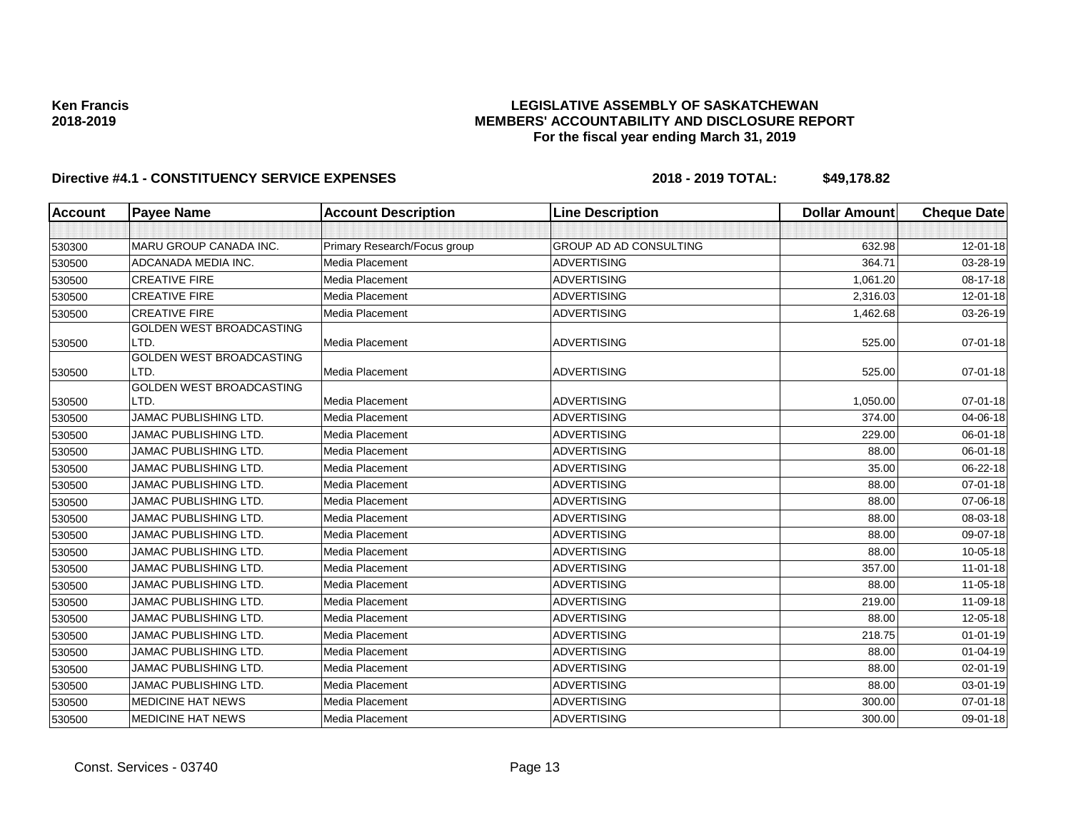## **LEGISLATIVE ASSEMBLY OF SASKATCHEWAN MEMBERS' ACCOUNTABILITY AND DISCLOSURE REPORT For the fiscal year ending March 31, 2019**

| Account | <b>Payee Name</b>                       | <b>Account Description</b>   | <b>Line Description</b>       | <b>Dollar Amount</b> | <b>Cheque Date</b> |
|---------|-----------------------------------------|------------------------------|-------------------------------|----------------------|--------------------|
|         |                                         |                              |                               |                      |                    |
| 530300  | MARU GROUP CANADA INC.                  | Primary Research/Focus group | <b>GROUP AD AD CONSULTING</b> | 632.98               | 12-01-18           |
| 530500  | ADCANADA MEDIA INC.                     | Media Placement              | <b>ADVERTISING</b>            | 364.71               | 03-28-19           |
| 530500  | <b>CREATIVE FIRE</b>                    | Media Placement              | <b>ADVERTISING</b>            | 1,061.20             | 08-17-18           |
| 530500  | <b>CREATIVE FIRE</b>                    | Media Placement              | <b>ADVERTISING</b>            | 2,316.03             | 12-01-18           |
| 530500  | <b>CREATIVE FIRE</b>                    | Media Placement              | <b>ADVERTISING</b>            | 1,462.68             | 03-26-19           |
| 530500  | GOLDEN WEST BROADCASTING<br>LTD.        | Media Placement              | <b>ADVERTISING</b>            | 525.00               | $07 - 01 - 18$     |
| 530500  | GOLDEN WEST BROADCASTING<br>LTD.        | Media Placement              | <b>ADVERTISING</b>            | 525.00               | $07 - 01 - 18$     |
| 530500  | <b>GOLDEN WEST BROADCASTING</b><br>LTD. | Media Placement              | <b>ADVERTISING</b>            | 1,050.00             | $07 - 01 - 18$     |
| 530500  | <b>JAMAC PUBLISHING LTD.</b>            | Media Placement              | <b>ADVERTISING</b>            | 374.00               | 04-06-18           |
| 530500  | <b>JAMAC PUBLISHING LTD.</b>            | Media Placement              | <b>ADVERTISING</b>            | 229.00               | 06-01-18           |
| 530500  | <b>JAMAC PUBLISHING LTD.</b>            | Media Placement              | <b>ADVERTISING</b>            | 88.00                | 06-01-18           |
| 530500  | <b>JAMAC PUBLISHING LTD.</b>            | Media Placement              | <b>ADVERTISING</b>            | 35.00                | 06-22-18           |
| 530500  | <b>JAMAC PUBLISHING LTD.</b>            | Media Placement              | <b>ADVERTISING</b>            | 88.00                | 07-01-18           |
| 530500  | <b>JAMAC PUBLISHING LTD.</b>            | Media Placement              | <b>ADVERTISING</b>            | 88.00                | 07-06-18           |
| 530500  | <b>JAMAC PUBLISHING LTD.</b>            | Media Placement              | <b>ADVERTISING</b>            | 88.00                | 08-03-18           |
| 530500  | <b>JAMAC PUBLISHING LTD.</b>            | Media Placement              | <b>ADVERTISING</b>            | 88.00                | 09-07-18           |
| 530500  | JAMAC PUBLISHING LTD.                   | Media Placement              | <b>ADVERTISING</b>            | 88.00                | 10-05-18           |
| 530500  | <b>JAMAC PUBLISHING LTD.</b>            | Media Placement              | <b>ADVERTISING</b>            | 357.00               | $11-01-18$         |
| 530500  | <b>JAMAC PUBLISHING LTD.</b>            | Media Placement              | <b>ADVERTISING</b>            | 88.00                | 11-05-18           |
| 530500  | <b>JAMAC PUBLISHING LTD.</b>            | Media Placement              | <b>ADVERTISING</b>            | 219.00               | 11-09-18           |
| 530500  | <b>JAMAC PUBLISHING LTD.</b>            | Media Placement              | <b>ADVERTISING</b>            | 88.00                | 12-05-18           |
| 530500  | JAMAC PUBLISHING LTD.                   | Media Placement              | <b>ADVERTISING</b>            | 218.75               | $01 - 01 - 19$     |
| 530500  | <b>JAMAC PUBLISHING LTD.</b>            | Media Placement              | <b>ADVERTISING</b>            | 88.00                | 01-04-19           |
| 530500  | <b>JAMAC PUBLISHING LTD.</b>            | Media Placement              | <b>ADVERTISING</b>            | 88.00                | 02-01-19           |
| 530500  | JAMAC PUBLISHING LTD.                   | Media Placement              | <b>ADVERTISING</b>            | 88.00                | 03-01-19           |
| 530500  | <b>MEDICINE HAT NEWS</b>                | Media Placement              | <b>ADVERTISING</b>            | 300.00               | 07-01-18           |
| 530500  | <b>MEDICINE HAT NEWS</b>                | Media Placement              | <b>ADVERTISING</b>            | 300.00               | 09-01-18           |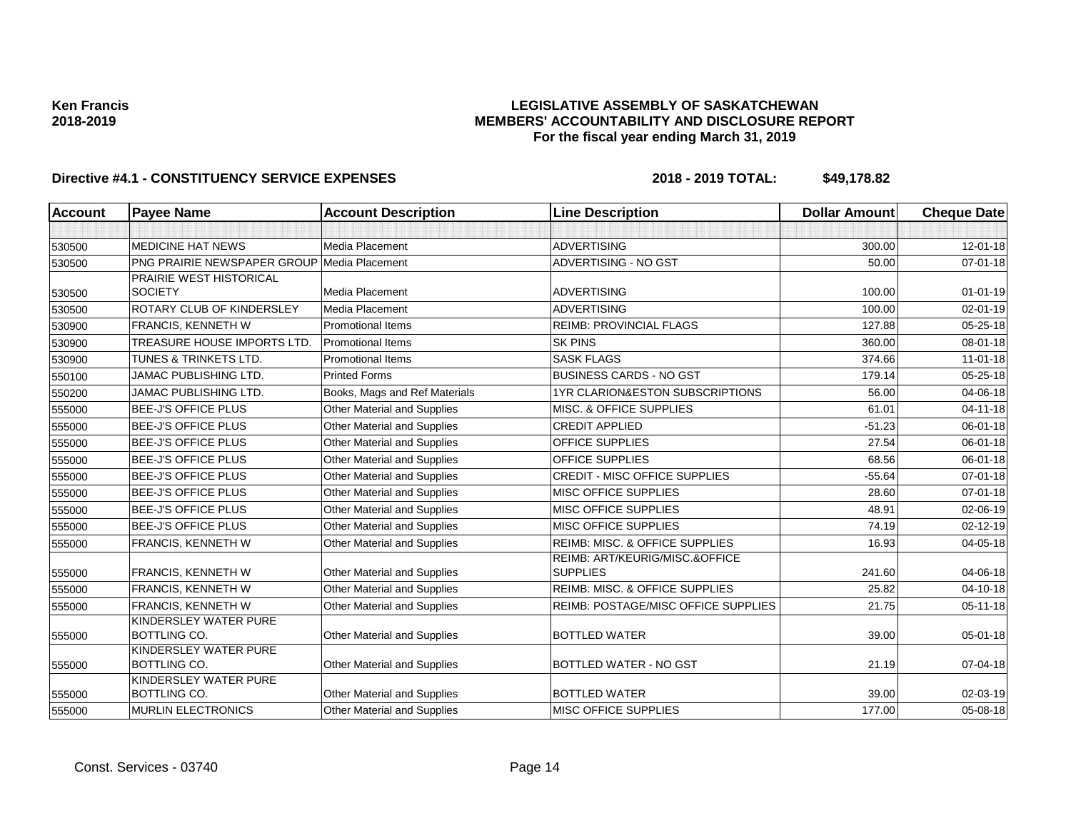## **LEGISLATIVE ASSEMBLY OF SASKATCHEWAN MEMBERS' ACCOUNTABILITY AND DISCLOSURE REPORT For the fiscal year ending March 31, 2019**

| <b>Account</b> | <b>Payee Name</b>                           | <b>Account Description</b>         | <b>Line Description</b>                    | <b>Dollar Amount</b> | <b>Cheque Date</b> |
|----------------|---------------------------------------------|------------------------------------|--------------------------------------------|----------------------|--------------------|
|                |                                             |                                    |                                            |                      |                    |
| 530500         | <b>MEDICINE HAT NEWS</b>                    | Media Placement                    | <b>ADVERTISING</b>                         | 300.00               | $12 - 01 - 18$     |
| 530500         | PNG PRAIRIE NEWSPAPER GROUP Media Placement |                                    | ADVERTISING - NO GST                       | 50.00                | $07 - 01 - 18$     |
|                | <b>PRAIRIE WEST HISTORICAL</b>              |                                    |                                            |                      |                    |
| 530500         | <b>SOCIETY</b>                              | Media Placement                    | <b>ADVERTISING</b>                         | 100.00               | $01 - 01 - 19$     |
| 530500         | ROTARY CLUB OF KINDERSLEY                   | Media Placement                    | <b>ADVERTISING</b>                         | 100.00               | 02-01-19           |
| 530900         | FRANCIS, KENNETH W                          | <b>Promotional Items</b>           | <b>REIMB: PROVINCIAL FLAGS</b>             | 127.88               | $05 - 25 - 18$     |
| 530900         | <b>TREASURE HOUSE IMPORTS LTD.</b>          | <b>Promotional Items</b>           | <b>SK PINS</b>                             | 360.00               | 08-01-18           |
| 530900         | TUNES & TRINKETS LTD.                       | <b>Promotional Items</b>           | <b>SASK FLAGS</b>                          | 374.66               | $11 - 01 - 18$     |
| 550100         | JAMAC PUBLISHING LTD.                       | <b>Printed Forms</b>               | <b>BUSINESS CARDS - NO GST</b>             | 179.14               | 05-25-18           |
| 550200         | <b>JAMAC PUBLISHING LTD.</b>                | Books, Mags and Ref Materials      | <b>1YR CLARION&amp;ESTON SUBSCRIPTIONS</b> | 56.00                | 04-06-18           |
| 555000         | <b>BEE-J'S OFFICE PLUS</b>                  | Other Material and Supplies        | MISC. & OFFICE SUPPLIES                    | 61.01                | $04 - 11 - 18$     |
| 555000         | <b>BEE-J'S OFFICE PLUS</b>                  | Other Material and Supplies        | <b>CREDIT APPLIED</b>                      | $-51.23$             | 06-01-18           |
| 555000         | <b>BEE-J'S OFFICE PLUS</b>                  | <b>Other Material and Supplies</b> | <b>OFFICE SUPPLIES</b>                     | 27.54                | 06-01-18           |
| 555000         | <b>BEE-J'S OFFICE PLUS</b>                  | Other Material and Supplies        | <b>OFFICE SUPPLIES</b>                     | 68.56                | 06-01-18           |
| 555000         | <b>BEE-J'S OFFICE PLUS</b>                  | Other Material and Supplies        | <b>CREDIT - MISC OFFICE SUPPLIES</b>       | $-55.64$             | 07-01-18           |
| 555000         | <b>BEE-J'S OFFICE PLUS</b>                  | Other Material and Supplies        | MISC OFFICE SUPPLIES                       | 28.60                | $07 - 01 - 18$     |
| 555000         | <b>BEE-J'S OFFICE PLUS</b>                  | Other Material and Supplies        | <b>MISC OFFICE SUPPLIES</b>                | 48.91                | 02-06-19           |
| 555000         | <b>BEE-J'S OFFICE PLUS</b>                  | Other Material and Supplies        | <b>MISC OFFICE SUPPLIES</b>                | 74.19                | $02 - 12 - 19$     |
| 555000         | FRANCIS, KENNETH W                          | Other Material and Supplies        | <b>REIMB: MISC. &amp; OFFICE SUPPLIES</b>  | 16.93                | 04-05-18           |
|                |                                             |                                    | REIMB: ART/KEURIG/MISC.&OFFICE             |                      |                    |
| 555000         | FRANCIS, KENNETH W                          | Other Material and Supplies        | <b>SUPPLIES</b>                            | 241.60               | 04-06-18           |
| 555000         | FRANCIS, KENNETH W                          | <b>Other Material and Supplies</b> | <b>REIMB: MISC. &amp; OFFICE SUPPLIES</b>  | 25.82                | $04 - 10 - 18$     |
| 555000         | FRANCIS, KENNETH W                          | Other Material and Supplies        | REIMB: POSTAGE/MISC OFFICE SUPPLIES        | 21.75                | 05-11-18           |
|                | KINDERSLEY WATER PURE                       |                                    |                                            |                      |                    |
| 555000         | <b>BOTTLING CO.</b>                         | Other Material and Supplies        | <b>BOTTLED WATER</b>                       | 39.00                | 05-01-18           |
|                | KINDERSLEY WATER PURE<br>BOTTLING CO.       |                                    | BOTTLED WATER - NO GST                     | 21.19                | 07-04-18           |
| 555000         | KINDERSLEY WATER PURE                       | <b>Other Material and Supplies</b> |                                            |                      |                    |
| 555000         | BOTTLING CO.                                | Other Material and Supplies        | <b>BOTTLED WATER</b>                       | 39.00                | 02-03-19           |
| 555000         | <b>MURLIN ELECTRONICS</b>                   | Other Material and Supplies        | MISC OFFICE SUPPLIES                       | 177.00               | $05 - 08 - 18$     |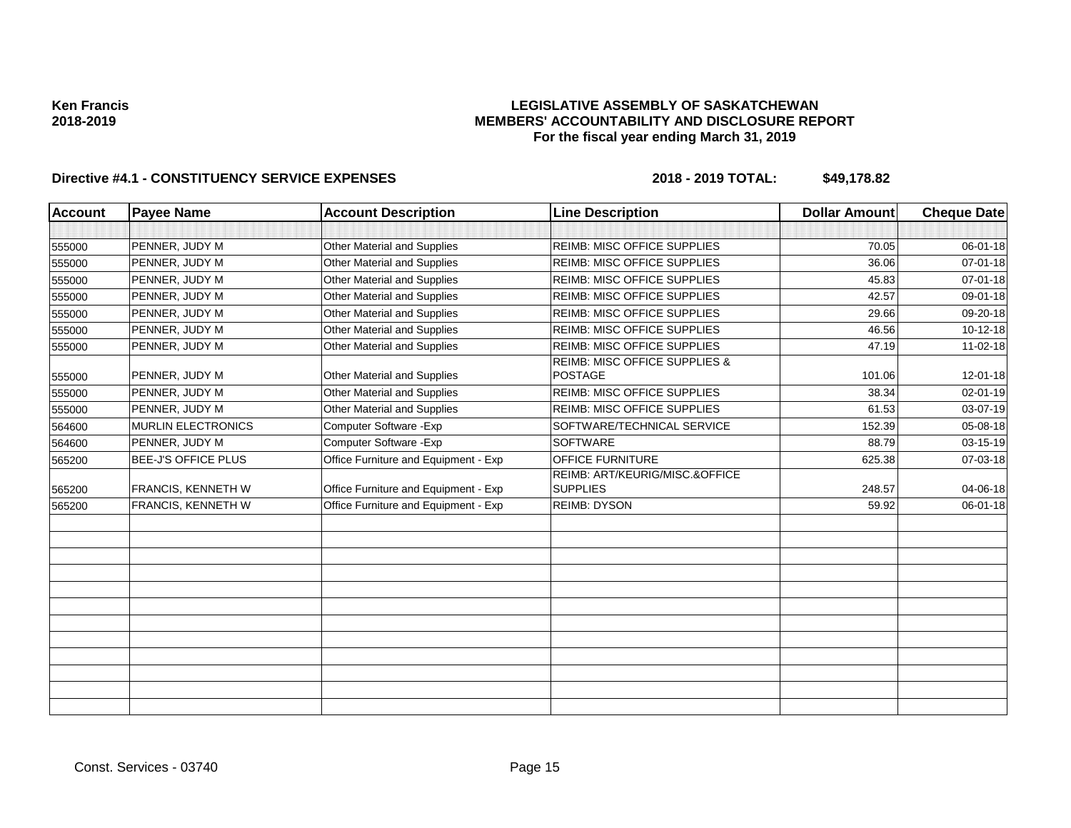### **LEGISLATIVE ASSEMBLY OF SASKATCHEWAN MEMBERS' ACCOUNTABILITY AND DISCLOSURE REPORT For the fiscal year ending March 31, 2019**

| <b>Account</b> | <b>Payee Name</b>          | <b>Account Description</b>           | <b>Line Description</b>                             | <b>Dollar Amount</b> | <b>Cheque Date</b> |
|----------------|----------------------------|--------------------------------------|-----------------------------------------------------|----------------------|--------------------|
|                |                            |                                      |                                                     |                      |                    |
| 555000         | PENNER, JUDY M             | Other Material and Supplies          | REIMB: MISC OFFICE SUPPLIES                         | 70.05                | 06-01-18           |
| 555000         | PENNER, JUDY M             | <b>Other Material and Supplies</b>   | <b>REIMB: MISC OFFICE SUPPLIES</b>                  | 36.06                | $07 - 01 - 18$     |
| 555000         | PENNER, JUDY M             | Other Material and Supplies          | <b>REIMB: MISC OFFICE SUPPLIES</b>                  | 45.83                | 07-01-18           |
| 555000         | PENNER, JUDY M             | Other Material and Supplies          | REIMB: MISC OFFICE SUPPLIES                         | 42.57                | 09-01-18           |
| 555000         | PENNER, JUDY M             | Other Material and Supplies          | REIMB: MISC OFFICE SUPPLIES                         | 29.66                | 09-20-18           |
| 555000         | PENNER, JUDY M             | Other Material and Supplies          | <b>REIMB: MISC OFFICE SUPPLIES</b>                  | 46.56                | 10-12-18           |
| 555000         | PENNER, JUDY M             | Other Material and Supplies          | <b>REIMB: MISC OFFICE SUPPLIES</b>                  | 47.19                | 11-02-18           |
| 555000         | PENNER, JUDY M             | Other Material and Supplies          | <b>REIMB: MISC OFFICE SUPPLIES &amp;</b><br>POSTAGE | 101.06               | $12 - 01 - 18$     |
| 555000         | PENNER, JUDY M             | Other Material and Supplies          | <b>REIMB: MISC OFFICE SUPPLIES</b>                  | 38.34                | 02-01-19           |
| 555000         | PENNER, JUDY M             | Other Material and Supplies          | REIMB: MISC OFFICE SUPPLIES                         | 61.53                | 03-07-19           |
| 564600         | <b>MURLIN ELECTRONICS</b>  | Computer Software - Exp              | SOFTWARE/TECHNICAL SERVICE                          | 152.39               | 05-08-18           |
| 564600         | PENNER, JUDY M             | Computer Software - Exp              | <b>SOFTWARE</b>                                     | 88.79                | 03-15-19           |
| 565200         | <b>BEE-J'S OFFICE PLUS</b> | Office Furniture and Equipment - Exp | <b>OFFICE FURNITURE</b>                             | 625.38               | 07-03-18           |
|                |                            |                                      | REIMB: ART/KEURIG/MISC.&OFFICE                      |                      |                    |
| 565200         | <b>FRANCIS, KENNETH W</b>  | Office Furniture and Equipment - Exp | <b>SUPPLIES</b>                                     | 248.57               | 04-06-18           |
| 565200         | <b>FRANCIS, KENNETH W</b>  | Office Furniture and Equipment - Exp | <b>REIMB: DYSON</b>                                 | 59.92                | 06-01-18           |
|                |                            |                                      |                                                     |                      |                    |
|                |                            |                                      |                                                     |                      |                    |
|                |                            |                                      |                                                     |                      |                    |
|                |                            |                                      |                                                     |                      |                    |
|                |                            |                                      |                                                     |                      |                    |
|                |                            |                                      |                                                     |                      |                    |
|                |                            |                                      |                                                     |                      |                    |
|                |                            |                                      |                                                     |                      |                    |
|                |                            |                                      |                                                     |                      |                    |
|                |                            |                                      |                                                     |                      |                    |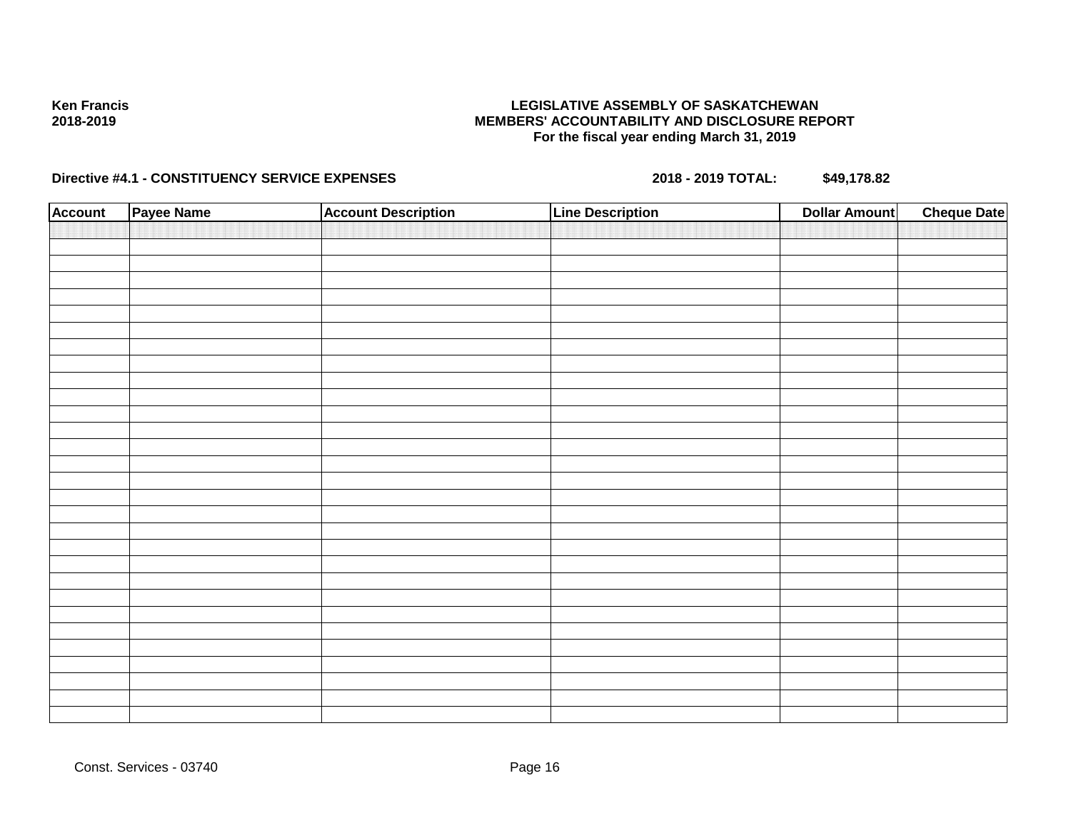### **LEGISLATIVE ASSEMBLY OF SASKATCHEWAN MEMBERS' ACCOUNTABILITY AND DISCLOSURE REPORT For the fiscal year ending March 31, 2019**

| <b>Account</b> | Payee Name | <b>Account Description</b> | <b>Line Description</b> | <b>Cheque Date</b><br><b>Dollar Amount</b> |
|----------------|------------|----------------------------|-------------------------|--------------------------------------------|
|                |            |                            |                         |                                            |
|                |            |                            |                         |                                            |
|                |            |                            |                         |                                            |
|                |            |                            |                         |                                            |
|                |            |                            |                         |                                            |
|                |            |                            |                         |                                            |
|                |            |                            |                         |                                            |
|                |            |                            |                         |                                            |
|                |            |                            |                         |                                            |
|                |            |                            |                         |                                            |
|                |            |                            |                         |                                            |
|                |            |                            |                         |                                            |
|                |            |                            |                         |                                            |
|                |            |                            |                         |                                            |
|                |            |                            |                         |                                            |
|                |            |                            |                         |                                            |
|                |            |                            |                         |                                            |
|                |            |                            |                         |                                            |
|                |            |                            |                         |                                            |
|                |            |                            |                         |                                            |
|                |            |                            |                         |                                            |
|                |            |                            |                         |                                            |
|                |            |                            |                         |                                            |
|                |            |                            |                         |                                            |
|                |            |                            |                         |                                            |
|                |            |                            |                         |                                            |
|                |            |                            |                         |                                            |
|                |            |                            |                         |                                            |
|                |            |                            |                         |                                            |
|                |            |                            |                         |                                            |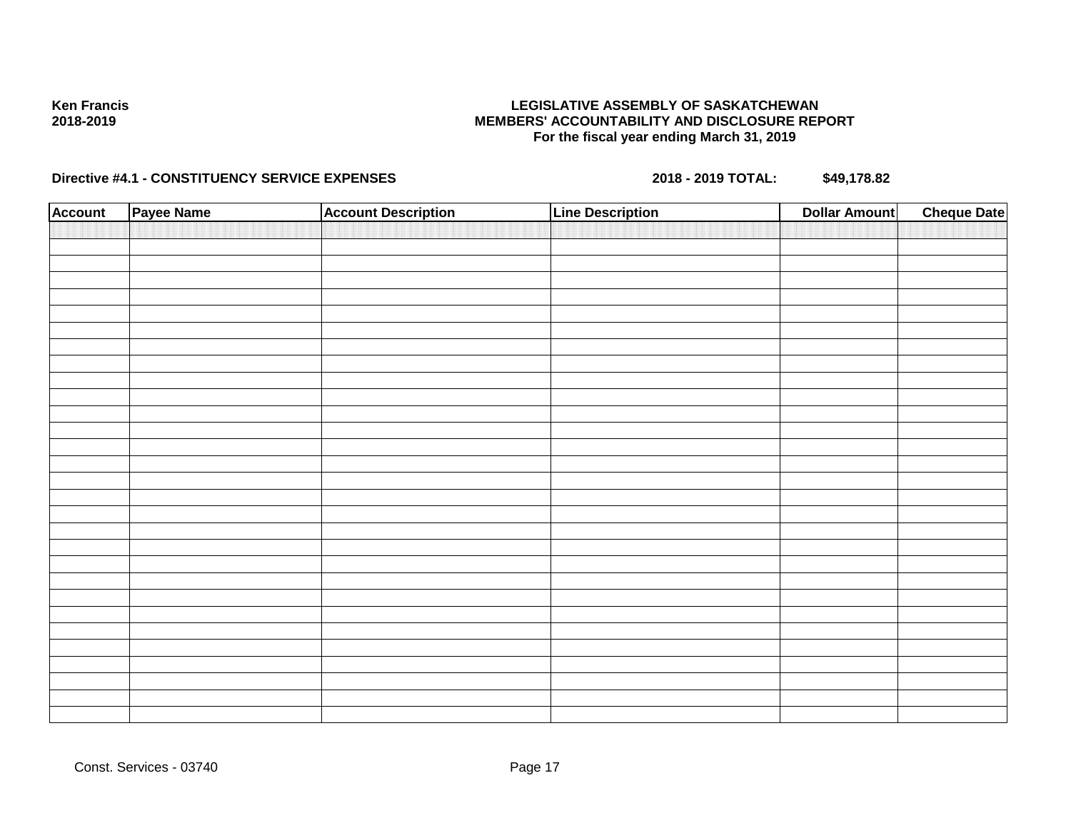### **LEGISLATIVE ASSEMBLY OF SASKATCHEWAN MEMBERS' ACCOUNTABILITY AND DISCLOSURE REPORT For the fiscal year ending March 31, 2019**

| <b>Account</b> | Payee Name | <b>Account Description</b> | <b>Line Description</b> | <b>Cheque Date</b><br><b>Dollar Amount</b> |
|----------------|------------|----------------------------|-------------------------|--------------------------------------------|
|                |            |                            |                         |                                            |
|                |            |                            |                         |                                            |
|                |            |                            |                         |                                            |
|                |            |                            |                         |                                            |
|                |            |                            |                         |                                            |
|                |            |                            |                         |                                            |
|                |            |                            |                         |                                            |
|                |            |                            |                         |                                            |
|                |            |                            |                         |                                            |
|                |            |                            |                         |                                            |
|                |            |                            |                         |                                            |
|                |            |                            |                         |                                            |
|                |            |                            |                         |                                            |
|                |            |                            |                         |                                            |
|                |            |                            |                         |                                            |
|                |            |                            |                         |                                            |
|                |            |                            |                         |                                            |
|                |            |                            |                         |                                            |
|                |            |                            |                         |                                            |
|                |            |                            |                         |                                            |
|                |            |                            |                         |                                            |
|                |            |                            |                         |                                            |
|                |            |                            |                         |                                            |
|                |            |                            |                         |                                            |
|                |            |                            |                         |                                            |
|                |            |                            |                         |                                            |
|                |            |                            |                         |                                            |
|                |            |                            |                         |                                            |
|                |            |                            |                         |                                            |
|                |            |                            |                         |                                            |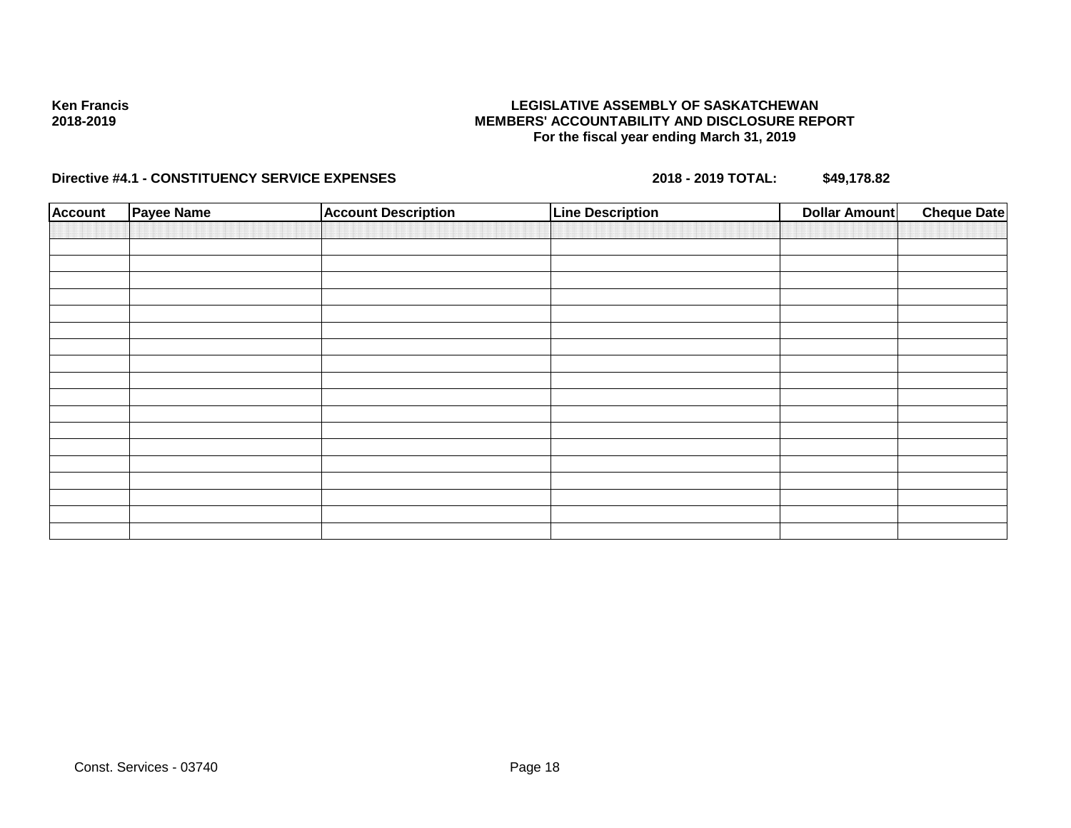### **LEGISLATIVE ASSEMBLY OF SASKATCHEWAN MEMBERS' ACCOUNTABILITY AND DISCLOSURE REPORT For the fiscal year ending March 31, 2019**

| <b>Account</b> | Payee Name | <b>Account Description</b> | <b>Line Description</b> | <b>Cheque Date</b><br><b>Dollar Amount</b> |
|----------------|------------|----------------------------|-------------------------|--------------------------------------------|
|                |            |                            |                         |                                            |
|                |            |                            |                         |                                            |
|                |            |                            |                         |                                            |
|                |            |                            |                         |                                            |
|                |            |                            |                         |                                            |
|                |            |                            |                         |                                            |
|                |            |                            |                         |                                            |
|                |            |                            |                         |                                            |
|                |            |                            |                         |                                            |
|                |            |                            |                         |                                            |
|                |            |                            |                         |                                            |
|                |            |                            |                         |                                            |
|                |            |                            |                         |                                            |
|                |            |                            |                         |                                            |
|                |            |                            |                         |                                            |
|                |            |                            |                         |                                            |
|                |            |                            |                         |                                            |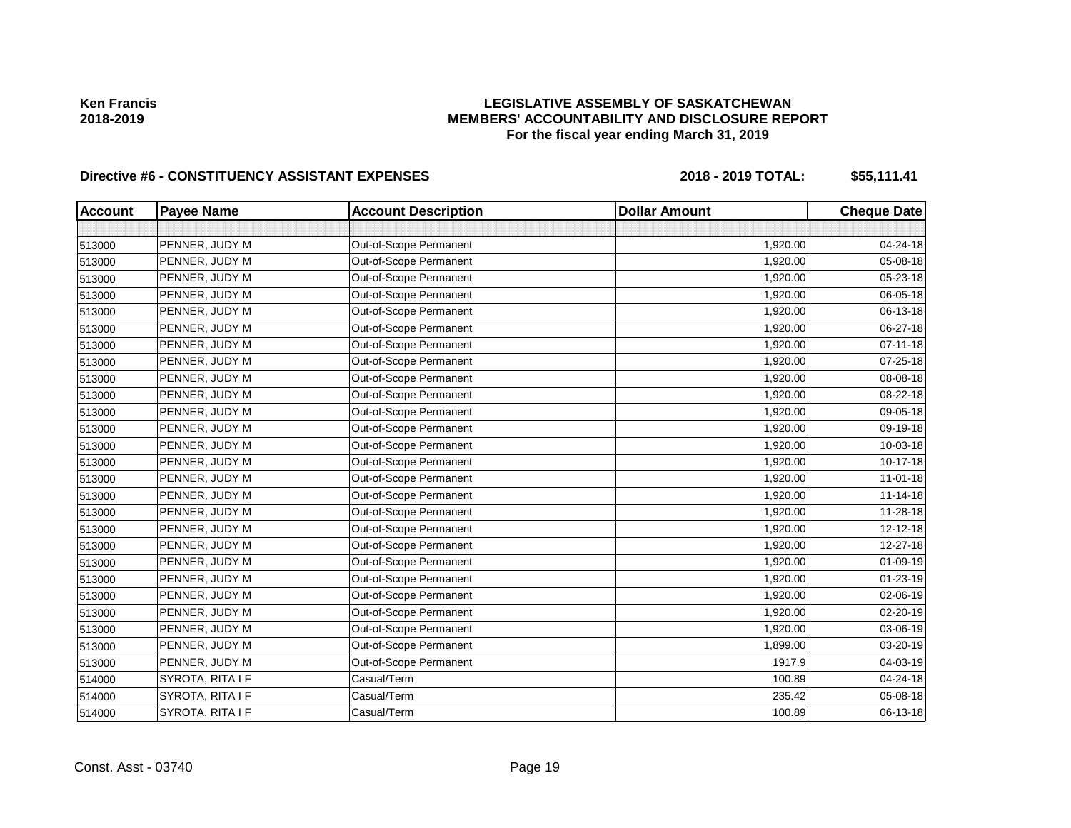## **LEGISLATIVE ASSEMBLY OF SASKATCHEWAN MEMBERS' ACCOUNTABILITY AND DISCLOSURE REPORT For the fiscal year ending March 31, 2019**

| <b>Account</b> | <b>Payee Name</b> | <b>Account Description</b> | <b>Dollar Amount</b> | <b>Cheque Date</b> |
|----------------|-------------------|----------------------------|----------------------|--------------------|
|                |                   |                            |                      |                    |
| 513000         | PENNER, JUDY M    | Out-of-Scope Permanent     | 1,920.00             | 04-24-18           |
| 513000         | PENNER, JUDY M    | Out-of-Scope Permanent     | 1,920.00             | 05-08-18           |
| 513000         | PENNER, JUDY M    | Out-of-Scope Permanent     | 1,920.00             | 05-23-18           |
| 513000         | PENNER, JUDY M    | Out-of-Scope Permanent     | 1,920.00             | 06-05-18           |
| 513000         | PENNER, JUDY M    | Out-of-Scope Permanent     | 1,920.00             | 06-13-18           |
| 513000         | PENNER, JUDY M    | Out-of-Scope Permanent     | 1,920.00             | 06-27-18           |
| 513000         | PENNER, JUDY M    | Out-of-Scope Permanent     | 1,920.00             | 07-11-18           |
| 513000         | PENNER, JUDY M    | Out-of-Scope Permanent     | 1,920.00             | 07-25-18           |
| 513000         | PENNER, JUDY M    | Out-of-Scope Permanent     | 1,920.00             | 08-08-18           |
| 513000         | PENNER, JUDY M    | Out-of-Scope Permanent     | 1,920.00             | 08-22-18           |
| 513000         | PENNER, JUDY M    | Out-of-Scope Permanent     | 1,920.00             | 09-05-18           |
| 513000         | PENNER, JUDY M    | Out-of-Scope Permanent     | 1,920.00             | 09-19-18           |
| 513000         | PENNER, JUDY M    | Out-of-Scope Permanent     | 1,920.00             | 10-03-18           |
| 513000         | PENNER, JUDY M    | Out-of-Scope Permanent     | 1,920.00             | 10-17-18           |
| 513000         | PENNER, JUDY M    | Out-of-Scope Permanent     | 1,920.00             | 11-01-18           |
| 513000         | PENNER, JUDY M    | Out-of-Scope Permanent     | 1,920.00             | $11 - 14 - 18$     |
| 513000         | PENNER, JUDY M    | Out-of-Scope Permanent     | 1,920.00             | 11-28-18           |
| 513000         | PENNER, JUDY M    | Out-of-Scope Permanent     | 1,920.00             | 12-12-18           |
| 513000         | PENNER, JUDY M    | Out-of-Scope Permanent     | 1,920.00             | 12-27-18           |
| 513000         | PENNER, JUDY M    | Out-of-Scope Permanent     | 1,920.00             | 01-09-19           |
| 513000         | PENNER, JUDY M    | Out-of-Scope Permanent     | 1,920.00             | 01-23-19           |
| 513000         | PENNER, JUDY M    | Out-of-Scope Permanent     | 1,920.00             | 02-06-19           |
| 513000         | PENNER, JUDY M    | Out-of-Scope Permanent     | 1,920.00             | 02-20-19           |
| 513000         | PENNER, JUDY M    | Out-of-Scope Permanent     | 1,920.00             | 03-06-19           |
| 513000         | PENNER, JUDY M    | Out-of-Scope Permanent     | 1,899.00             | 03-20-19           |
| 513000         | PENNER, JUDY M    | Out-of-Scope Permanent     | 1917.9               | 04-03-19           |
| 514000         | SYROTA, RITA I F  | Casual/Term                | 100.89               | 04-24-18           |
| 514000         | SYROTA, RITA I F  | Casual/Term                | 235.42               | 05-08-18           |
| 514000         | SYROTA, RITA I F  | Casual/Term                | 100.89               | 06-13-18           |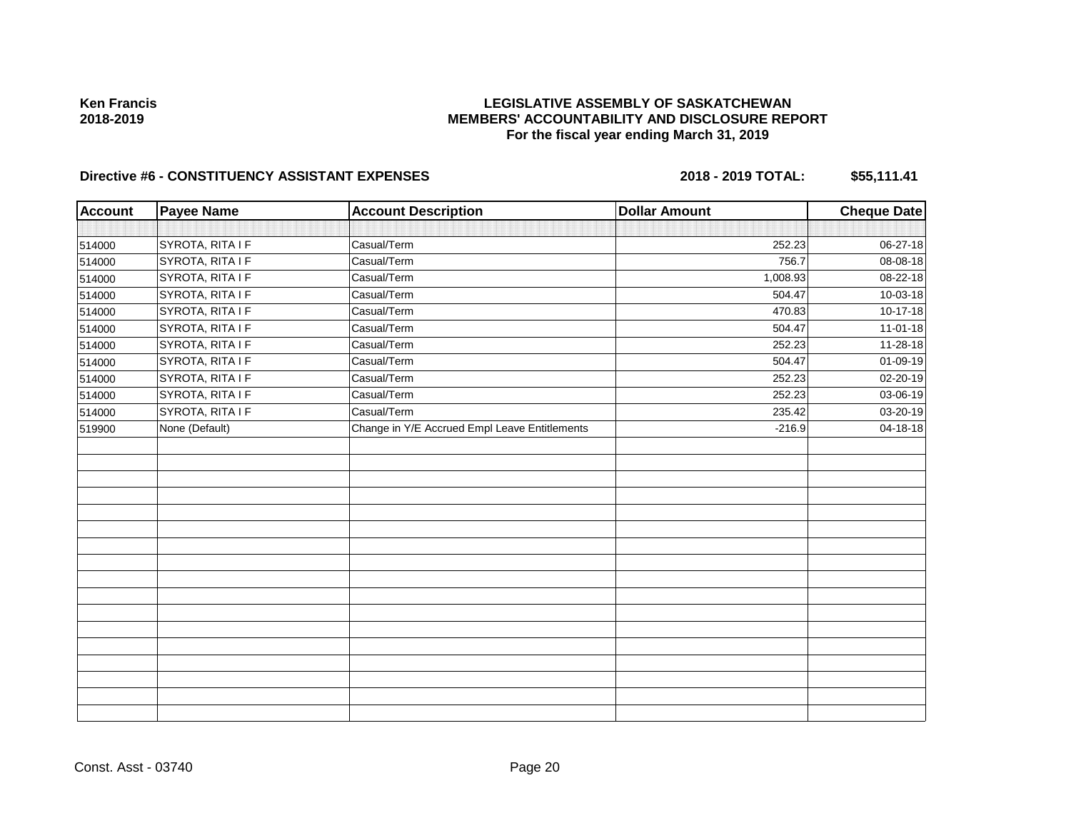## **LEGISLATIVE ASSEMBLY OF SASKATCHEWAN MEMBERS' ACCOUNTABILITY AND DISCLOSURE REPORT For the fiscal year ending March 31, 2019**

| <b>Account</b> | <b>Payee Name</b> | <b>Account Description</b>                    | <b>Dollar Amount</b> | <b>Cheque Date</b> |
|----------------|-------------------|-----------------------------------------------|----------------------|--------------------|
|                |                   |                                               |                      |                    |
| 514000         | SYROTA, RITA I F  | Casual/Term                                   | 252.23               | 06-27-18           |
| 514000         | SYROTA, RITA I F  | Casual/Term                                   | 756.7                | 08-08-18           |
| 514000         | SYROTA, RITA I F  | Casual/Term                                   | 1,008.93             | 08-22-18           |
| 514000         | SYROTA, RITA I F  | Casual/Term                                   | 504.47               | 10-03-18           |
| 514000         | SYROTA, RITA I F  | Casual/Term                                   | 470.83               | 10-17-18           |
| 514000         | SYROTA, RITA I F  | Casual/Term                                   | 504.47               | $11-01-18$         |
| 514000         | SYROTA, RITA I F  | Casual/Term                                   | 252.23               | 11-28-18           |
| 514000         | SYROTA, RITA I F  | Casual/Term                                   | 504.47               | 01-09-19           |
| 514000         | SYROTA, RITA I F  | Casual/Term                                   | 252.23               | 02-20-19           |
| 514000         | SYROTA, RITA I F  | Casual/Term                                   | 252.23               | 03-06-19           |
| 514000         | SYROTA, RITA I F  | Casual/Term                                   | 235.42               | 03-20-19           |
| 519900         | None (Default)    | Change in Y/E Accrued Empl Leave Entitlements | $-216.9$             | 04-18-18           |
|                |                   |                                               |                      |                    |
|                |                   |                                               |                      |                    |
|                |                   |                                               |                      |                    |
|                |                   |                                               |                      |                    |
|                |                   |                                               |                      |                    |
|                |                   |                                               |                      |                    |
|                |                   |                                               |                      |                    |
|                |                   |                                               |                      |                    |
|                |                   |                                               |                      |                    |
|                |                   |                                               |                      |                    |
|                |                   |                                               |                      |                    |
|                |                   |                                               |                      |                    |
|                |                   |                                               |                      |                    |
|                |                   |                                               |                      |                    |
|                |                   |                                               |                      |                    |
|                |                   |                                               |                      |                    |
|                |                   |                                               |                      |                    |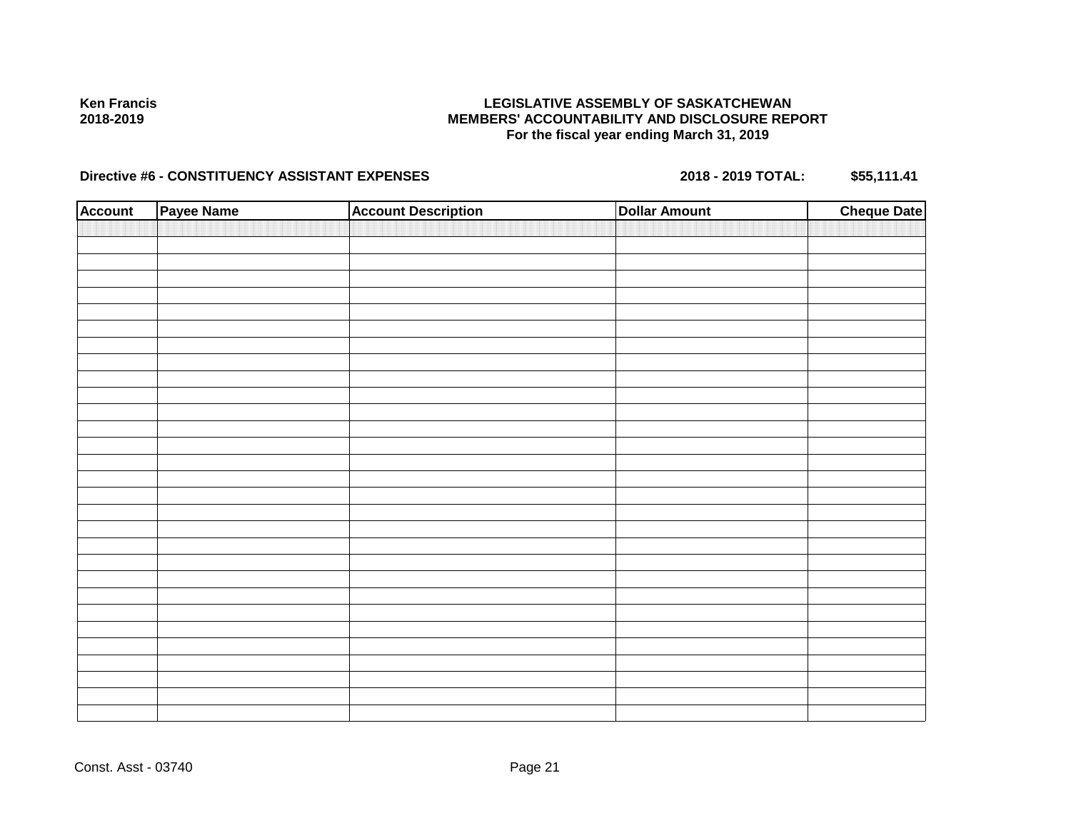### **LEGISLATIVE ASSEMBLY OF SASKATCHEWAN MEMBERS' ACCOUNTABILITY AND DISCLOSURE REPORT For the fiscal year ending March 31, 2019**

| <b>Account</b> | Payee Name | <b>Account Description</b> | <b>Dollar Amount</b> | <b>Cheque Date</b> |
|----------------|------------|----------------------------|----------------------|--------------------|
|                |            |                            |                      |                    |
|                |            |                            |                      |                    |
|                |            |                            |                      |                    |
|                |            |                            |                      |                    |
|                |            |                            |                      |                    |
|                |            |                            |                      |                    |
|                |            |                            |                      |                    |
|                |            |                            |                      |                    |
|                |            |                            |                      |                    |
|                |            |                            |                      |                    |
|                |            |                            |                      |                    |
|                |            |                            |                      |                    |
|                |            |                            |                      |                    |
|                |            |                            |                      |                    |
|                |            |                            |                      |                    |
|                |            |                            |                      |                    |
|                |            |                            |                      |                    |
|                |            |                            |                      |                    |
|                |            |                            |                      |                    |
|                |            |                            |                      |                    |
|                |            |                            |                      |                    |
|                |            |                            |                      |                    |
|                |            |                            |                      |                    |
|                |            |                            |                      |                    |
|                |            |                            |                      |                    |
|                |            |                            |                      |                    |
|                |            |                            |                      |                    |
|                |            |                            |                      |                    |
|                |            |                            |                      |                    |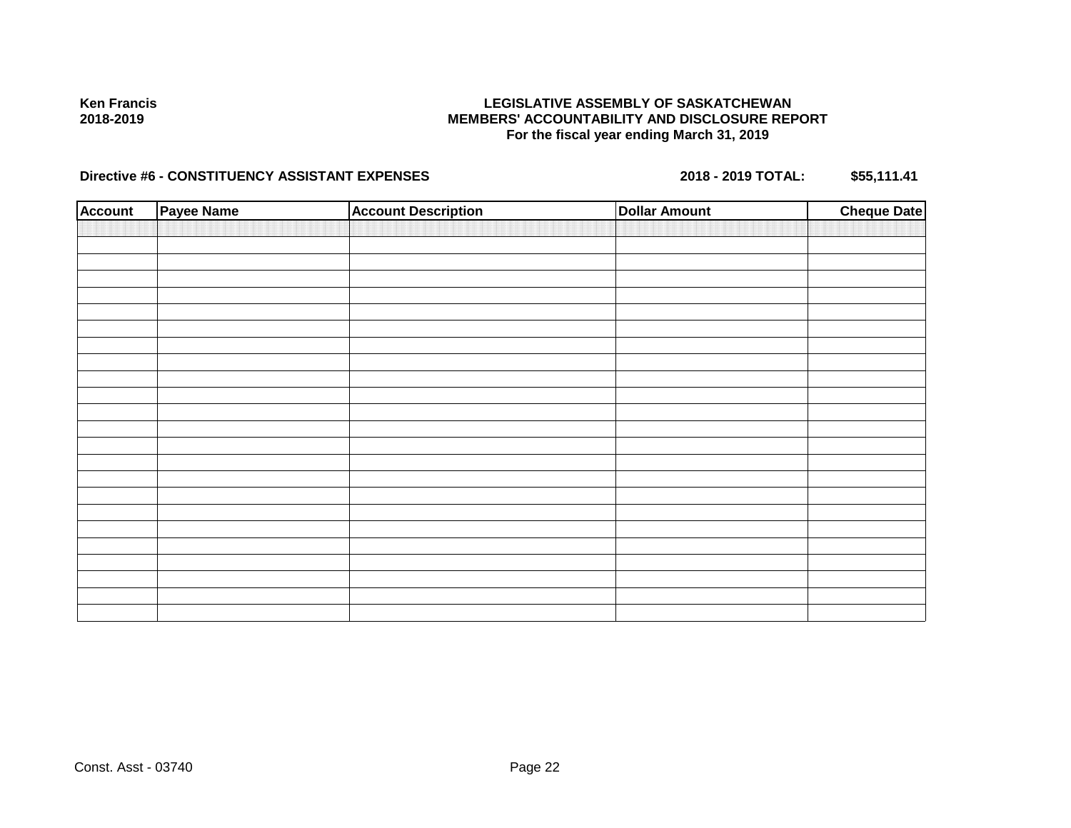### **LEGISLATIVE ASSEMBLY OF SASKATCHEWAN MEMBERS' ACCOUNTABILITY AND DISCLOSURE REPORT For the fiscal year ending March 31, 2019**

| <b>Account</b> | Payee Name | <b>Account Description</b> | <b>Dollar Amount</b> | <b>Cheque Date</b> |
|----------------|------------|----------------------------|----------------------|--------------------|
|                |            |                            |                      |                    |
|                |            |                            |                      |                    |
|                |            |                            |                      |                    |
|                |            |                            |                      |                    |
|                |            |                            |                      |                    |
|                |            |                            |                      |                    |
|                |            |                            |                      |                    |
|                |            |                            |                      |                    |
|                |            |                            |                      |                    |
|                |            |                            |                      |                    |
|                |            |                            |                      |                    |
|                |            |                            |                      |                    |
|                |            |                            |                      |                    |
|                |            |                            |                      |                    |
|                |            |                            |                      |                    |
|                |            |                            |                      |                    |
|                |            |                            |                      |                    |
|                |            |                            |                      |                    |
|                |            |                            |                      |                    |
|                |            |                            |                      |                    |
|                |            |                            |                      |                    |
|                |            |                            |                      |                    |
|                |            |                            |                      |                    |
|                |            |                            |                      |                    |